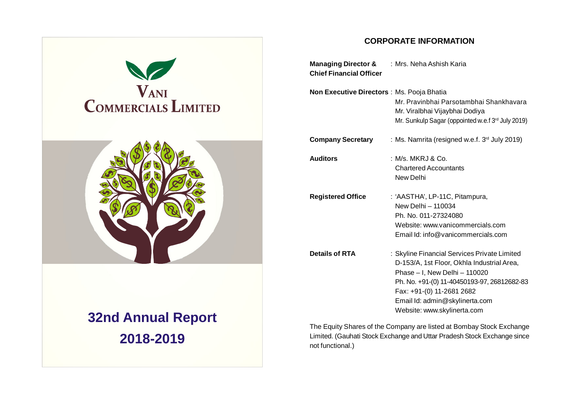

# **32nd Annual Report 2018-2019**

# **CORPORATE INFORMATION**

| <b>Managing Director &amp; : Mrs. Neha Ashish Karia</b><br><b>Chief Financial Officer</b> |                                                                                                                                                                                                                                                                          |
|-------------------------------------------------------------------------------------------|--------------------------------------------------------------------------------------------------------------------------------------------------------------------------------------------------------------------------------------------------------------------------|
| Non Executive Directors : Ms. Pooja Bhatia                                                | Mr. Pravinbhai Parsotambhai Shankhavara<br>Mr. Viralbhai Vijaybhai Dodiya<br>Mr. Sunkulp Sagar (oppointed w.e.f 3rd July 2019)                                                                                                                                           |
| <b>Company Secretary</b>                                                                  | : Ms. Namrita (resigned w.e.f. 3 <sup>rd</sup> July 2019)                                                                                                                                                                                                                |
| <b>Auditors</b>                                                                           | : M/s. MKRJ & Co.<br><b>Chartered Accountants</b><br>New Delhi                                                                                                                                                                                                           |
| <b>Registered Office</b>                                                                  | : 'AASTHA', LP-11C, Pitampura,<br>New Delhi - 110034<br>Ph. No. 011-27324080<br>Website: www.vanicommercials.com<br>Email Id: info@vanicommercials.com                                                                                                                   |
| <b>Details of RTA</b>                                                                     | : Skyline Financial Services Private Limited<br>D-153/A, 1st Floor, Okhla Industrial Area,<br>Phase - I, New Delhi - 110020<br>Ph. No. +91-(0) 11-40450193-97, 26812682-83<br>Fax: +91-(0) 11-2681 2682<br>Email Id: admin@skylinerta.com<br>Website: www.skylinerta.com |

The Equity Shares of the Company are listed at Bombay Stock Exchange Limited. (Gauhati Stock Exchange and Uttar Pradesh Stock Exchange since not functional.)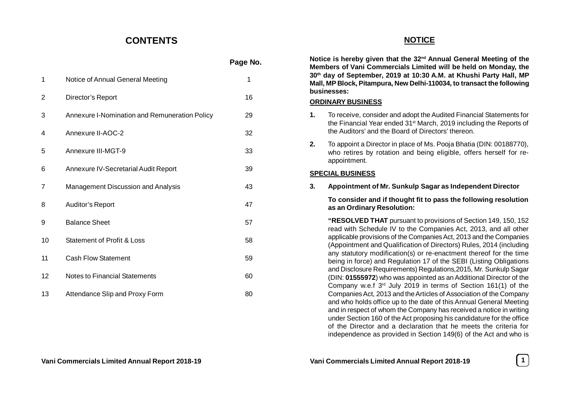# **CONTENTS**

|    |                                               | Page No. |
|----|-----------------------------------------------|----------|
| 1  | Notice of Annual General Meeting              | 1        |
| 2  | Director's Report                             | 16       |
| 3  | Annexure I-Nomination and Remuneration Policy | 29       |
| 4  | Annexure II-AOC-2                             | 32       |
| 5  | Annexure III-MGT-9                            | 33       |
| 6  | Annexure IV-Secretarial Audit Report          | 39       |
| 7  | Management Discussion and Analysis            | 43       |
| 8  | Auditor's Report                              | 47       |
| 9  | <b>Balance Sheet</b>                          | 57       |
| 10 | <b>Statement of Profit &amp; Loss</b>         | 58       |
| 11 | <b>Cash Flow Statement</b>                    | 59       |
| 12 | <b>Notes to Financial Statements</b>          | 60       |
| 13 | Attendance Slip and Proxy Form                | 80       |

# **NOTICE**

**Notice is hereby given that the 32nd Annual General Meeting of the Members of Vani Commercials Limited will be held on Monday, the 30th day of September, 2019 at 10:30 A.M. at Khushi Party Hall, MP Mall, MP Block, Pitampura, New Delhi-110034, to transact the following businesses:**

# **ORDINARY BUSINESS**

- **1.** To receive, consider and adopt the Audited Financial Statements for the Financial Year ended 31st March, 2019 including the Reports of the Auditors' and the Board of Directors' thereon.
- **2.** To appoint a Director in place of Ms. Pooja Bhatia (DIN: 00188770), who retires by rotation and being eligible, offers herself for reappointment.

# **SPECIAL BUSINESS**

**3. Appointment of Mr. Sunkulp Sagar as Independent Director**

**To consider and if thought fit to pass the following resolution as an Ordinary Resolution:**

**"RESOLVED THAT** pursuant to provisions of Section 149, 150, 152 read with Schedule IV to the Companies Act, 2013, and all other applicable provisions of the Companies Act, 2013 and the Companies (Appointment and Qualification of Directors) Rules, 2014 (including any statutory modification(s) or re-enactment thereof for the time being in force) and Regulation 17 of the SEBI (Listing Obligations and Disclosure Requirements) Regulations,2015, Mr. Sunkulp Sagar (DIN: **01555972**) who was appointed as an Additional Director of the Company w.e.f 3rd July 2019 in terms of Section 161(1) of the Companies Act, 2013 and the Articles of Association of the Company and who holds office up to the date of this Annual General Meeting and in respect of whom the Company has received a notice in writing under Section 160 of the Act proposing his candidature for the office of the Director and a declaration that he meets the criteria for independence as provided in Section 149(6) of the Act and who is

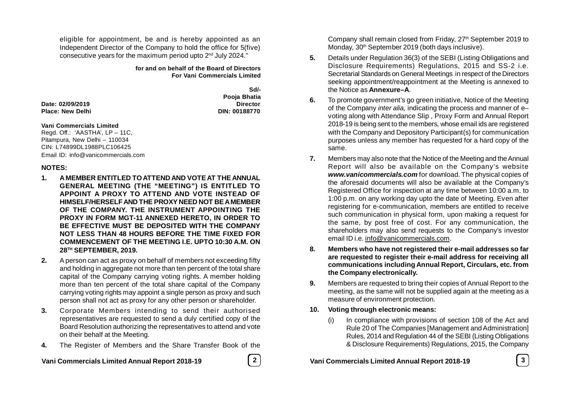eligible for appointment, be and is hereby appointed as an Independent Director of the Company to hold the office for 5(five) consecutive years for the maximum period upto 2nd July 2024."

> **for and on behalf of the Board of Directors For Vani Commercials Limited**

> > **Sd/-**

**Pooja Bhatia**

**Date: 02/09/2019 Director Place: New Delhi DIN: 00188770**

#### **Vani Commercials Limited**

Regd. Off.: 'AASTHA', LP – 11C, Pitampura, New Delhi – 110034 CIN: L74899DL1988PLC106425 Email ID: info@vanicommercials.com

#### **NOTES:**

- **1. A MEMBER ENTITLED TO ATTEND AND VOTE AT THE ANNUAL GENERAL MEETING (THE "MEETING") IS ENTITLED TO APPOINT A PROXY TO ATTEND AND VOTE INSTEAD OF HIMSELF/HERSELF AND THE PROXY NEED NOT BE A MEMBER OF THE COMPANY. THE INSTRUMENT APPOINTING THE PROXY IN FORM MGT-11 ANNEXED HERETO, IN ORDER TO BE EFFECTIVE MUST BE DEPOSITED WITH THE COMPANY NOT LESS THAN 48 HOURS BEFORE THE TIME FIXED FOR COMMENCEMENT OF THE MEETING I.E. UPTO 10:30 A.M. ON 28TH SEPTEMBER, 2019.**
- **2.** A person can act as proxy on behalf of members not exceeding fifty and holding in aggregate not more than ten percent of the total share capital of the Company carrying voting rights. A member holding more than ten percent of the total share capital of the Company carrying voting rights may appoint a single person as proxy and such person shall not act as proxy for any other person or shareholder.
- **3.** Corporate Members intending to send their authorised representatives are requested to send a duly certified copy of the Board Resolution authorizing the representatives to attend and vote on their behalf at the Meeting.
- **4.** The Register of Members and the Share Transfer Book of the

**Vani Commercials Limited Annual Report 2018-19 2 Vani Commercials Limited Annual Report 2018-19 3**

Company shall remain closed from Friday, 27<sup>th</sup> September 2019 to Monday, 30<sup>th</sup> September 2019 (both days inclusive).

- **5.** Details under Regulation 36(3) of the SEBI (Listing Obligations and Disclosure Requirements) Regulations, 2015 and SS-2 i.e. Secretarial Standards on General Meetings in respect of the Directors seeking appointment/reappointment at the Meeting is annexed to the Notice as **Annexure–A**.
- **6.** To promote government's go green initiative, Notice of the Meeting of the Company *inter alia,* indicating the process and manner of e– voting along with Attendance Slip , Proxy Form and Annual Report 2018-19 is being sent to the members, whose email ids are registered with the Company and Depository Participant(s) for communication purposes unless any member has requested for a hard copy of the same.
- **7.** Members may also note that the Notice of the Meeting and the Annual Report will also be available on the Company's website *www.vanicommercials.com* for download. The physical copies of the aforesaid documents will also be available at the Company's Registered Office for inspection at any time between 10:00 a.m. to 1:00 p.m. on any working day upto the date of Meeting. Even after registering for e-communication, members are entitled to receive such communication in physical form, upon making a request for the same, by post free of cost. For any communication, the shareholders may also send requests to the Company's investor email ID i.e. info@vanicommercials.com.
- **8. Members who have not registered their e-mail addresses so far are requested to register their e-mail address for receiving all communications including Annual Report, Circulars, etc. from the Company electronically.**
- **9.** Members are requested to bring their copies of Annual Report to the meeting, as the same will not be supplied again at the meeting as a measure of environment protection.
- **10. Voting through electronic means:**
	- (i) In compliance with provisions of section 108 of the Act and Rule 20 of The Companies [Management and Administration] Rules, 2014 and Regulation 44 of the SEBI (Listing Obligations & Disclosure Requirements) Regulations, 2015, the Company

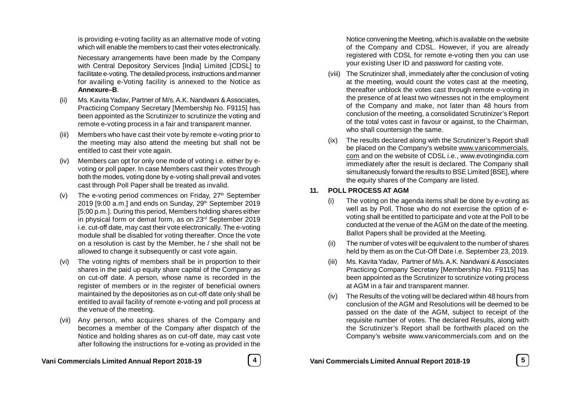is providing e-voting facility as an alternative mode of voting which will enable the members to cast their votes electronically.

Necessary arrangements have been made by the Company with Central Depository Services [India] Limited [CDSL] to facilitate e-voting. The detailed process, instructions and manner for availing e-Voting facility is annexed to the Notice as **Annexure–B**.

- Ms. Kavita Yadav, Partner of M/s. A.K. Nandwani & Associates, Practicing Company Secretary [Membership No. F9115] has been appointed as the Scrutinizer to scrutinize the voting and remote e-voting process in a fair and transparent manner.
- (iii) Members who have cast their vote by remote e-voting prior to the meeting may also attend the meeting but shall not be entitled to cast their vote again.
- (iv) Members can opt for only one mode of voting i.e. either by evoting or poll paper. In case Members cast their votes through both the modes, voting done by e-voting shall prevail and votes cast through Poll Paper shall be treated as invalid.
- (v) The e-voting period commences on Friday,  $27<sup>th</sup>$  September 2019 [9:00 a.m.] and ends on Sunday, 29<sup>th</sup> September 2019 [5:00 p.m.]. During this period, Members holding shares either in physical form or demat form, as on 23rd September 2019 i.e. cut-off date, may cast their vote electronically. The e-voting module shall be disabled for voting thereafter. Once the vote on a resolution is cast by the Member, he / she shall not be allowed to change it subsequently or cast vote again.
- (vi) The voting rights of members shall be in proportion to their shares in the paid up equity share capital of the Company as on cut-off date. A person, whose name is recorded in the register of members or in the register of beneficial owners maintained by the depositories as on cut-off date only shall be entitled to avail facility of remote e-voting and poll process at the venue of the meeting.
- (vii) Any person, who acquires shares of the Company and becomes a member of the Company after dispatch of the Notice and holding shares as on cut-off date, may cast vote after following the instructions for e-voting as provided in the

Notice convening the Meeting, which is available on the website of the Company and CDSL. However, if you are already registered with CDSL for remote e-voting then you can use your existing User ID and password for casting vote.

- (viii) The Scrutinizer shall, immediately after the conclusion of voting at the meeting, would count the votes cast at the meeting, thereafter unblock the votes cast through remote e-voting in the presence of at least two witnesses not in the employment of the Company and make, not later than 48 hours from conclusion of the meeting, a consolidated Scrutinizer's Report of the total votes cast in favour or against, to the Chairman, who shall countersign the same.
- (ix) The results declared along with the Scrutinizer's Report shall be placed on the Company's website www.vanicommercials. com and on the website of CDSL i.e., www.evotingindia.com immediately after the result is declared. The Company shall simultaneously forward the results to BSE Limited [BSE], where the equity shares of the Company are listed.

# **11. POLL PROCESS AT AGM**

- The voting on the agenda items shall be done by e-voting as well as by Poll. Those who do not exercise the option of evoting shall be entitled to participate and vote at the Poll to be conducted at the venue of the AGM on the date of the meeting. Ballot Papers shall be provided at the Meeting.
- The number of votes will be equivalent to the number of shares held by them as on the Cut-Off Date i.e. September 23, 2019.
- (iii) Ms. Kavita Yadav, Partner of M/s. A.K. Nandwani & Associates Practicing Company Secretary [Membership No. F9115] has been appointed as the Scrutinizer to scrutinize voting process at AGM in a fair and transparent manner.
- (iv) The Results of the voting will be declared within 48 hours from conclusion of the AGM and Resolutions will be deemed to be passed on the date of the AGM, subject to receipt of the requisite number of votes. The declared Results, along with the Scrutinizer's Report shall be forthwith placed on the Company's website www.vanicommercials.com and on the

**Vani Commercials Limited Annual Report 2018-19 4 Vani Commercials Limited Annual Report 2018-19 5**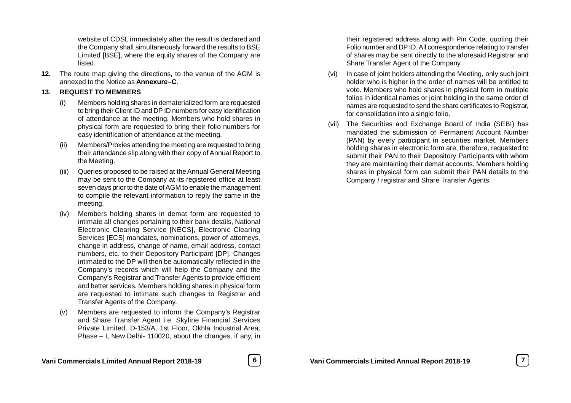website of CDSL immediately after the result is declared and the Company shall simultaneously forward the results to BSE Limited [BSE], where the equity shares of the Company are listed.

**12.** The route map giving the directions, to the venue of the AGM is annexed to the Notice as **Annexure–C**.

# **13. REQUEST TO MEMBERS**

- (i) Members holding shares in dematerialized form are requested to bring their Client ID and DP ID numbers for easy identification of attendance at the meeting. Members who hold shares in physical form are requested to bring their folio numbers for easy identification of attendance at the meeting.
- (ii) Members/Proxies attending the meeting are requested to bring their attendance slip along with their copy of Annual Report to the Meeting.
- (iii) Queries proposed to be raised at the Annual General Meeting may be sent to the Company at its registered office at least seven days prior to the date of AGM to enable the management to compile the relevant information to reply the same in the meeting.
- (iv) Members holding shares in demat form are requested to intimate all changes pertaining to their bank details, National Electronic Clearing Service [NECS], Electronic Clearing Services [ECS] mandates, nominations, power of attorneys, change in address, change of name, email address, contact numbers, etc. to their Depository Participant [DP]. Changes intimated to the DP will then be automatically reflected in the Company's records which will help the Company and the Company's Registrar and Transfer Agents to provide efficient and better services. Members holding shares in physical form are requested to intimate such changes to Registrar and Transfer Agents of the Company.
- (v) Members are requested to inform the Company's Registrar and Share Transfer Agent i.e. Skyline Financial Services Private Limited, D-153/A, 1st Floor, Okhla Industrial Area, Phase – I, New Delhi- 110020, about the changes, if any, in



their registered address along with Pin Code, quoting their Folio number and DP ID. All correspondence relating to transfer of shares may be sent directly to the aforesaid Registrar and Share Transfer Agent of the Company

- (vi) In case of joint holders attending the Meeting, only such joint holder who is higher in the order of names will be entitled to vote. Members who hold shares in physical form in multiple folios in identical names or joint holding in the same order of names are requested to send the share certificates to Registrar, for consolidation into a single folio.
- (vii) The Securities and Exchange Board of India (SEBI) has mandated the submission of Permanent Account Number (PAN) by every participant in securities market. Members holding shares in electronic form are, therefore, requested to submit their PAN to their Depository Participants with whom they are maintaining their demat accounts. Members holding shares in physical form can submit their PAN details to the Company / registrar and Share Transfer Agents.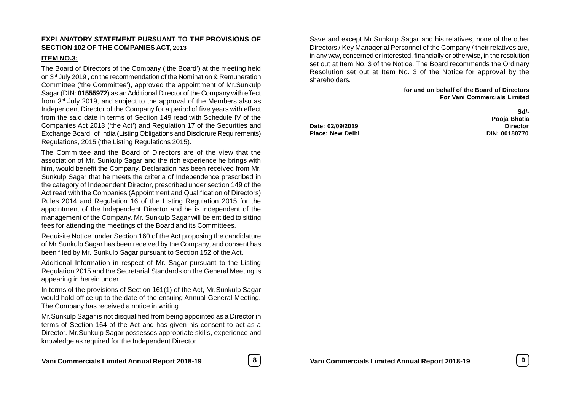#### **EXPLANATORY STATEMENT PURSUANT TO THE PROVISIONS OF SECTION 102 OF THE COMPANIES ACT, 2013**

# **ITEM NO.3:**

The Board of Directors of the Company ('the Board') at the meeting held on 3rd July 2019 , on the recommendation of the Nomination & Remuneration Committee ('the Committee'), approved the appointment of Mr.Sunkulp Sagar (DIN: **01555972**) as an Additional Director of the Company with effect from 3rd July 2019, and subject to the approval of the Members also as Independent Director of the Company for a period of five years with effect from the said date in terms of Section 149 read with Schedule IV of the Companies Act 2013 ('the Act') and Regulation 17 of the Securities and Exchange Board of India (Listing Obligations and Disclorure Requirements) Regulations, 2015 ('the Listing Regulations 2015).

The Committee and the Board of Directors are of the view that the association of Mr. Sunkulp Sagar and the rich experience he brings with him, would benefit the Company. Declaration has been received from Mr. Sunkulp Sagar that he meets the criteria of Independence prescribed in the category of Independent Director, prescribed under section 149 of the Act read with the Companies (Appointment and Qualification of Directors) Rules 2014 and Regulation 16 of the Listing Regulation 2015 for the appointment of the Independent Director and he is independent of the management of the Company. Mr. Sunkulp Sagar will be entitled to sitting fees for attending the meetings of the Board and its Committees.

Requisite Notice under Section 160 of the Act proposing the candidature of Mr.Sunkulp Sagar has been received by the Company, and consent has been filed by Mr. Sunkulp Sagar pursuant to Section 152 of the Act.

Additional Information in respect of Mr. Sagar pursuant to the Listing Regulation 2015 and the Secretarial Standards on the General Meeting is appearing in herein under

In terms of the provisions of Section 161(1) of the Act, Mr.Sunkulp Sagar would hold office up to the date of the ensuing Annual General Meeting. The Company has received a notice in writing.

Mr.Sunkulp Sagar is not disqualified from being appointed as a Director in terms of Section 164 of the Act and has given his consent to act as a Director. Mr.Sunkulp Sagar possesses appropriate skills, experience and knowledge as required for the Independent Director.

Save and except Mr.Sunkulp Sagar and his relatives, none of the other Directors / Key Managerial Personnel of the Company / their relatives are, in any way, concerned or interested, financially or otherwise, in the resolution set out at Item No. 3 of the Notice. The Board recommends the Ordinary Resolution set out at Item No. 3 of the Notice for approval by the shareholders.

#### **for and on behalf of the Board of Directors For Vani Commercials Limited**

**Date: 02/09/2019 Director Place: New Delhi DIN: 00188770**

**Sd/- Pooja Bhatia**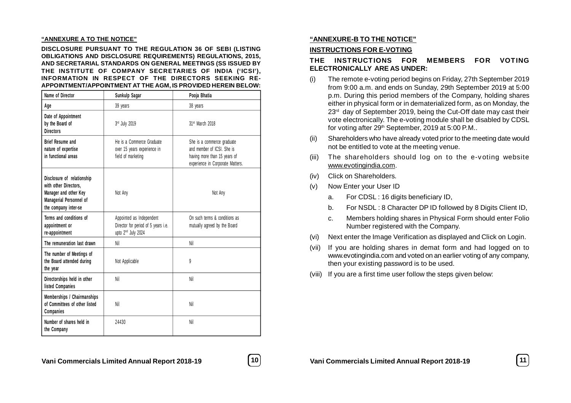#### **"ANNEXURE A TO THE NOTICE"**

**DISCLOSURE PURSUANT TO THE REGULATION 36 OF SEBI (LISTING OBLIGATIONS AND DISCLOSURE REQUIREMENTS) REGULATIONS, 2015, AND SECRETARIAL STANDARDS ON GENERAL MEETINGS (SS ISSUED BY THE INSTITUTE OF COMPANY SECRETARIES OF INDIA ('ICSI'), INFORMATION IN RESPECT OF THE DIRECTORS SEEKING RE-APPOINTMENT/APPOINTMENT AT THE AGM, IS PROVIDED HEREIN BELOW:**

| <b>Name of Director</b>                                                                                                         | Sunkulp Sagar                                                                                     | Pooja Bhatia                                                                                                                |
|---------------------------------------------------------------------------------------------------------------------------------|---------------------------------------------------------------------------------------------------|-----------------------------------------------------------------------------------------------------------------------------|
| Age                                                                                                                             | 39 years                                                                                          | 38 years                                                                                                                    |
| Date of Appointment<br>by the Board of<br><b>Directors</b>                                                                      | 3rd July 2019                                                                                     | 31st March 2018                                                                                                             |
| <b>Brief Resume and</b><br>nature of expertise<br>in functional areas                                                           | He is a Commerce Graduate<br>over 15 years experience in<br>field of marketing                    | She is a commerce graduate<br>and member of ICSL She is<br>having more than 15 years of<br>experience in Corporate Matters. |
| Disclosure of relationship<br>with other Directors.<br>Manager and other Key<br>Managerial Personnel of<br>the company inter-se | Not Any                                                                                           | Not Any                                                                                                                     |
| Terms and conditions of<br>appointment or<br>re-appointment                                                                     | Appointed as Independent<br>Director for period of 5 years i.e.<br>upto 2 <sup>nd</sup> July 2024 | On such terms & conditions as<br>mutually agreed by the Board                                                               |
| The remuneration last drawn                                                                                                     | Nil                                                                                               | Nil                                                                                                                         |
| The number of Meetings of<br>the Board attended during<br>the year                                                              | Not Applicable                                                                                    | 9                                                                                                                           |
| Directorships held in other<br>listed Companies                                                                                 | Nil                                                                                               | Nil                                                                                                                         |
| Memberships / Chairmanships<br>of Committees of other listed<br>Companies                                                       | Nil                                                                                               | Nil                                                                                                                         |
| Number of shares held in<br>the Company                                                                                         | 24430                                                                                             | Nil                                                                                                                         |

#### **"ANNEXURE-B TO THE NOTICE"**

#### **INSTRUCTIONS FOR E-VOTING**

# **THE INSTRUCTIONS FOR MEMBERS FOR VOTING ELECTRONICALLY ARE AS UNDER:**

- (i) The remote e-voting period begins on Friday, 27th September 2019 from 9:00 a.m. and ends on Sunday, 29th September 2019 at 5:00 p.m. During this period members of the Company, holding shares either in physical form or in dematerialized form, as on Monday, the 23<sup>rd</sup> day of September 2019, being the Cut-Off date may cast their vote electronically. The e-voting module shall be disabled by CDSL for voting after 29th September, 2019 at 5:00 P.M..
- (ii) Shareholders who have already voted prior to the meeting date would not be entitled to vote at the meeting venue.
- (iii) The shareholders should log on to the e-v oting website www.evotingindia.com.
- (iv) Click on Shareholders.
- (v) Now Enter your User ID
	- a. For CDSL : 16 digits beneficiary ID,
	- b. For NSDL : 8 Character DP ID followed by 8 Digits Client ID,
	- c. Members holding shares in Physical Form should enter Folio Number registered with the Company.
- (vi) Next enter the Image Verification as displayed and Click on Login.
- (vii) If you are holding shares in demat form and had logged on to www.evotingindia.com and voted on an earlier voting of any company, then your existing password is to be used.
- (viii) If you are a first time user follow the steps given below: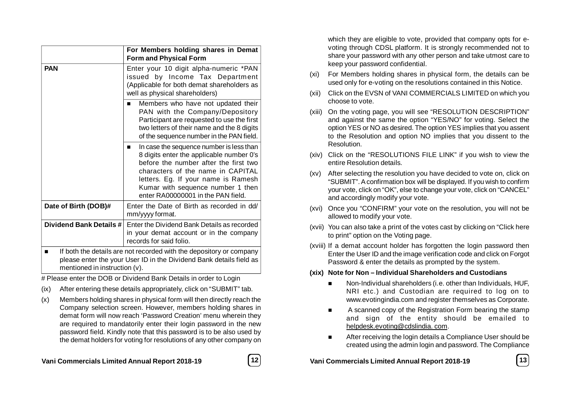|                                                                                                                                              | For Members holding shares in Demat<br><b>Form and Physical Form</b>                                                                                                                                                                                                                 |  |
|----------------------------------------------------------------------------------------------------------------------------------------------|--------------------------------------------------------------------------------------------------------------------------------------------------------------------------------------------------------------------------------------------------------------------------------------|--|
| <b>PAN</b>                                                                                                                                   | Enter your 10 digit alpha-numeric *PAN<br>issued by Income Tax Department<br>(Applicable for both demat shareholders as<br>well as physical shareholders)                                                                                                                            |  |
|                                                                                                                                              | Members who have not updated their<br>PAN with the Company/Depository<br>Participant are requested to use the first<br>two letters of their name and the 8 digits<br>of the sequence number in the PAN field.                                                                        |  |
|                                                                                                                                              | In case the sequence number is less than<br>8 digits enter the applicable number 0's<br>before the number after the first two<br>characters of the name in CAPITAL<br>letters. Eg. If your name is Ramesh<br>Kumar with sequence number 1 then<br>enter RA00000001 in the PAN field. |  |
| Date of Birth (DOB)#                                                                                                                         | Enter the Date of Birth as recorded in dd/<br>mm/yyyy format.                                                                                                                                                                                                                        |  |
| Dividend Bank Details #<br>Enter the Dividend Bank Details as recorded<br>in your demat account or in the company<br>records for said folio. |                                                                                                                                                                                                                                                                                      |  |
| п<br>mentioned in instruction (v).                                                                                                           | If both the details are not recorded with the depository or company<br>please enter the your User ID in the Dividend Bank details field as                                                                                                                                           |  |

# Please enter the DOB or Dividend Bank Details in order to Login

- (ix) After entering these details appropriately, click on "SUBMIT" tab.
- (x) Members holding shares in physical form will then directly reach the Company selection screen. However, members holding shares in demat form will now reach 'Password Creation' menu wherein they are required to mandatorily enter their login password in the new password field. Kindly note that this password is to be also used by the demat holders for voting for resolutions of any other company on



which they are eligible to vote, provided that company opts for evoting through CDSL platform. It is strongly recommended not to share your password with any other person and take utmost care to keep your password confidential.

- (xi) For Members holding shares in physical form, the details can be used only for e-voting on the resolutions contained in this Notice.
- (xii) Click on the EVSN of VANI COMMERCIALS LIMITED on which you choose to vote.
- (xiii) On the voting page, you will see "RESOLUTION DESCRIPTION" and against the same the option "YES/NO" for voting. Select the option YES or NO as desired. The option YES implies that you assent to the Resolution and option NO implies that you dissent to the Resolution.
- (xiv) Click on the "RESOLUTIONS FILE LINK" if you wish to view the entire Resolution details.
- (xv) After selecting the resolution you have decided to vote on, click on "SUBMIT". A confirmation box will be displayed. If you wish to confirm your vote, click on "OK", else to change your vote, click on "CANCEL" and accordingly modify your vote.
- (xvi) Once you "CONFIRM" your vote on the resolution, you will not be allowed to modify your vote.
- (xvii) You can also take a print of the votes cast by clicking on "Click here to print" option on the Voting page.
- (xviii) If a demat account holder has forgotten the login password then Enter the User ID and the image verification code and click on Forgot Password & enter the details as prompted by the system.

# **(xix) Note for Non – Individual Shareholders and Custodians**

- Non-Individual shareholders (i.e. other than Individuals, HUF, NRI etc.) and Custodian are required to log on to www.evotingindia.com and register themselves as Corporate.
- A scanned copy of the Registration Form bearing the stamp and sign of the entity should be emailed to helpdesk.evoting@cdslindia. com.
- After receiving the login details a Compliance User should be created using the admin login and password. The Compliance

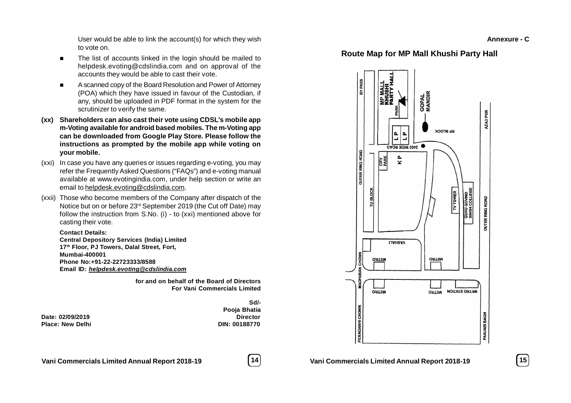**Annexure C Annexure - C**

User would be able to link the account(s) for which they wish to vote on.

- The list of accounts linked in the login should be mailed to helpdesk.evoting@cdslindia.com and on approval of the accounts they would be able to cast their vote.
- A scanned copy of the Board Resolution and Power of Attorney (POA) which they have issued in favour of the Custodian, if any, should be uploaded in PDF format in the system for the scrutinizer to verify the same.
- **(xx) Shareholders can also cast their vote using CDSL's mobile app m-Voting available for android based mobiles. The m-Voting app can be downloaded from Google Play Store. Please follow the instructions as prompted by the mobile app while voting on your mobile.**
- (xxi) In case you have any queries or issues regarding e-voting, you may refer the Frequently Asked Questions ("FAQs") and e-voting manual available at www.evotingindia.com, under help section or write an email to helpdesk.evoting@cdslindia.com.
- (xxii) Those who become members of the Company after dispatch of the Notice but on or before 23rd September 2019 (the Cut off Date) may follow the instruction from S.No. (i) - to (xxi) mentioned above for casting their vote.

**Contact Details: Central Depository Services (India) Limited 17th Floor, PJ Towers, Dalal Street, Fort, Mumbai-400001 Phone No:+91-22-22723333/8588 Email ID:** *helpdesk.evoting@cdslindia.com*

> **for and on behalf of the Board of Directors For Vani Commercials Limited**

**Date: 02/09/2019 Director Place: New Delhi DIN: 00188770**

**Sd/- Pooja Bhatia**





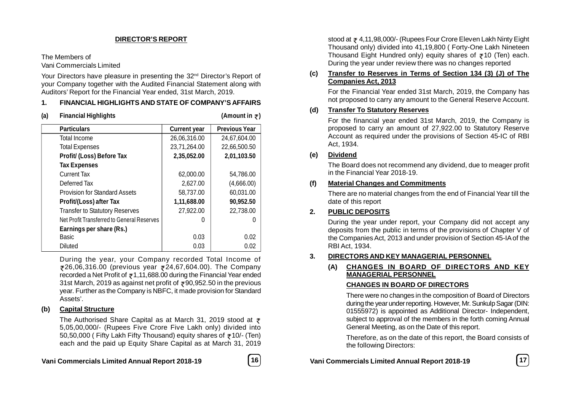# **DIRECTOR'S REPORT**

The Members of

Vani Commercials Limited

Your Directors have pleasure in presenting the 32<sup>nd</sup> Director's Report of your Company together with the Audited Financial Statement along with Auditors' Report for the Financial Year ended, 31st March, 2019.

# **1. FINANCIAL HIGHLIGHTS AND STATE OF COMPANY'S AFFAIRS**

| (a) | <b>Financial Highlights</b>                |                     | (Amount in $\overline{z}$ ) |
|-----|--------------------------------------------|---------------------|-----------------------------|
|     | <b>Particulars</b>                         | <b>Current year</b> | <b>Previous Year</b>        |
|     | <b>Total Income</b>                        | 26,06,316.00        | 24,67,604.00                |
|     | <b>Total Expenses</b>                      | 23,71,264.00        | 22,66,500.50                |
|     | Profit/ (Loss) Before Tax                  | 2,35,052.00         | 2,01,103.50                 |
|     | <b>Tax Expenses</b>                        |                     |                             |
|     | <b>Current Tax</b>                         | 62,000.00           | 54,786.00                   |
|     | Deferred Tax                               | 2,627.00            | (4,666.00)                  |
|     | <b>Provision for Standard Assets</b>       | 58,737.00           | 60,031.00                   |
|     | Profit/(Loss) after Tax                    | 1,11,688.00         | 90,952.50                   |
|     | <b>Transfer to Statutory Reserves</b>      | 27,922.00           | 22,738.00                   |
|     | Net Profit Transferred to General Reserves |                     |                             |
|     | Earnings per share (Rs.)                   |                     |                             |
|     | <b>Basic</b>                               | 0.03                | 0.02                        |
|     | <b>Diluted</b>                             | 0.03                | 0.02                        |

During the year, your Company recorded Total Income of ₹26,06,316.00 (previous year ₹24,67,604.00). The Company recorded a Net Profit of  $z$ 1,11,688.00 during the Financial Year ended 31st March, 2019 as against net profit of  $\overline{3}90,952.50$  in the previous year. Further as the Company is NBFC, it made provision for Standard Assets'.

# **(b) Capital Structure**

The Authorised Share Capital as at March 31, 2019 stood at  $\bar{z}$ 5,05,00,000/- (Rupees Five Crore Five Lakh only) divided into 50,50,000 ( Fifty Lakh Fifty Thousand) equity shares of  $\overline{z}$  10/- (Ten) each and the paid up Equity Share Capital as at March 31, 2019

**Vani Commercials Limited Annual Report 2018-19 16 Vani Commercials Limited Annual Report 2018-19 17**

stood at  $\overline{z}$  4,11,98,000/- (Rupees Four Crore Eleven Lakh Ninty Eight) Thousand only) divided into 41,19,800 ( Forty-One Lakh Nineteen Thousand Eight Hundred only) equity shares of  $\overline{z}$ 10 (Ten) each. During the year under review there was no changes reported

# **(c) Transfer to Reserves in Terms of Section 134 (3) (J) of The Companies Act, 2013**

For the Financial Year ended 31st March, 2019, the Company has not proposed to carry any amount to the General Reserve Account.

# **(d) Transfer To Statutory Reserves**

For the financial year ended 31st March, 2019, the Company is proposed to carry an amount of 27,922.00 to Statutory Reserve Account as required under the provisions of Section 45-IC of RBI Act, 1934.

# **(e) Dividend**

The Board does not recommend any dividend, due to meager profit in the Financial Year 2018-19.

# **(f) Material Changes and Commitments**

There are no material changes from the end of Financial Year till the date of this report

# **2. PUBLIC DEPOSITS**

During the year under report, your Company did not accept any deposits from the public in terms of the provisions of Chapter V of the Companies Act, 2013 and under provision of Section 45-IA of the RBI Act, 1934.

# **3. DIRECTORS AND KEY MANAGERIAL PERSONNEL**

# **(A) CHANGES IN BOARD OF DIRECTORS AND KEY MANAGERIAL PERSONNEL**

# **CHANGES IN BOARD OF DIRECTORS**

There were no changes in the composition of Board of Directors during the year under reporting. However, Mr. Sunkulp Sagar (DIN: 01555972) is appointed as Additional Director- Independent, subject to approval of the members in the forth coming Annual General Meeting, as on the Date of this report.

Therefore, as on the date of this report, the Board consists of the following Directors:

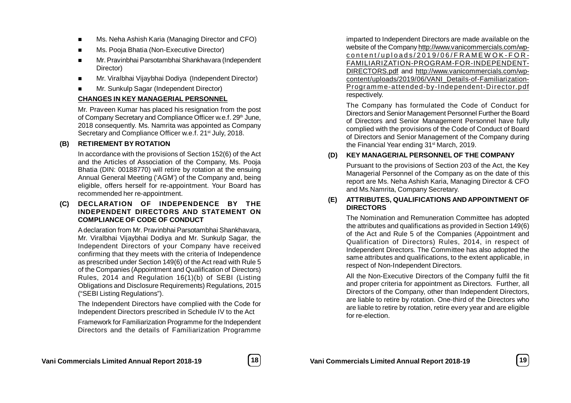- **Ms. Neha Ashish Karia (Managing Director and CFO)**
- Ms. Pooja Bhatia (Non-Executive Director)
- Mr. Pravinbhai Parsotambhai Shankhavara (Independent Director)
- Mr. Viralbhai Vijaybhai Dodiya (Independent Director)
- Mr. Sunkulp Sagar (Independent Director)

# **CHANGES IN KEY MANAGERIAL PERSONNEL**

Mr. Praveen Kumar has placed his resignation from the post of Company Secretary and Compliance Officer w.e.f. 29<sup>th</sup> June, 2018 consequently. Ms. Namrita was appointed as Company Secretary and Compliance Officer w.e.f. 21<sup>st</sup> July, 2018.

# **(B) RETIREMENT BY ROTATION**

In accordance with the provisions of Section 152(6) of the Act and the Articles of Association of the Company, Ms. Pooja Bhatia (DIN: 00188770) will retire by rotation at the ensuing Annual General Meeting ('AGM') of the Company and, being eligible, offers herself for re-appointment. Your Board has recommended her re-appointment.

**(C) DECLARATION OF INDEPENDENCE BY THE INDEPENDENT DIRECTORS AND STATEMENT ON COMPLIANCE OF CODE OF CONDUCT**

A declaration from Mr. Pravinbhai Parsotambhai Shankhavara, Mr. Viralbhai Vijaybhai Dodiya and Mr. Sunkulp Sagar, the Independent Directors of your Company have received confirming that they meets with the criteria of Independence as prescribed under Section 149(6) of the Act read with Rule 5 of the Companies (Appointment and Qualification of Directors) Rules, 2014 and Regulation 16(1)(b) of SEBI (Listing Obligations and Disclosure Requirements) Regulations, 2015 ("SEBI Listing Regulations").

The Independent Directors have complied with the Code for Independent Directors prescribed in Schedule IV to the Act

Framework for Familiarization Programme for the Independent Directors and the details of Familiarization Programme

imparted to Independent Directors are made available on the website of the Company http://www.vanicommercials.com/wp $control$  content/uploads/2019/06/FRAMEWOK-FOR-FAMILIARIZATION-PROGRAM-FOR-INDEPENDENT-DIRECTORS.pdf and http://www.vanicommercials.com/wpcontent/uploads/2019/06/VANI\_Details-of-Familiarization-Programm e-attended-by-Independent-Director.pdf respectively.

The Company has formulated the Code of Conduct for Directors and Senior Management Personnel Further the Board of Directors and Senior Management Personnel have fully complied with the provisions of the Code of Conduct of Board of Directors and Senior Management of the Company during the Financial Year ending 31<sup>st</sup> March, 2019.

# **(D) KEY MANAGERIAL PERSONNEL OF THE COMPANY**

Pursuant to the provisions of Section 203 of the Act, the Key Managerial Personnel of the Company as on the date of this report are Ms. Neha Ashish Karia, Managing Director & CFO and Ms.Namrita, Company Secretary.

# **(E) ATTRIBUTES, QUALIFICATIONS AND APPOINTMENT OF DIRECTORS**

The Nomination and Remuneration Committee has adopted the attributes and qualifications as provided in Section 149(6) of the Act and Rule 5 of the Companies (Appointment and Qualification of Directors) Rules, 2014, in respect of Independent Directors. The Committee has also adopted the same attributes and qualifications, to the extent applicable, in respect of Non-Independent Directors.

All the Non-Executive Directors of the Company fulfil the fit and proper criteria for appointment as Directors. Further, all Directors of the Company, other than Independent Directors, are liable to retire by rotation. One-third of the Directors who are liable to retire by rotation, retire every year and are eligible for re-election.

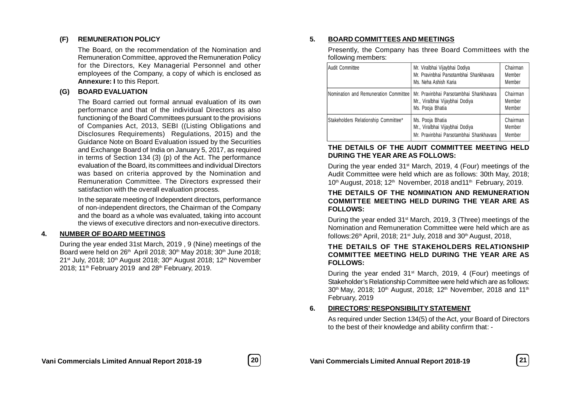# **(F) REMUNERATION POLICY**

The Board, on the recommendation of the Nomination and Remuneration Committee, approved the Remuneration Policy for the Directors, Key Managerial Personnel and other employees of the Company, a copy of which is enclosed as **Annexure: I** to this Report.

# **(G) BOARD EVALUATION**

The Board carried out formal annual evaluation of its own performance and that of the individual Directors as also functioning of the Board Committees pursuant to the provisions of Companies Act, 2013, SEBI ((Listing Obligations and Disclosures Requirements) Regulations, 2015) and the Guidance Note on Board Evaluation issued by the Securities and Exchange Board of India on January 5, 2017, as required in terms of Section 134 (3) (p) of the Act. The performance evaluation of the Board, its committees and individual Directors was based on criteria approved by the Nomination and Remuneration Committee. The Directors expressed their satisfaction with the overall evaluation process.

In the separate meeting of Independent directors, performance of non-independent directors, the Chairman of the Company and the board as a whole was evaluated, taking into account the views of executive directors and non-executive directors.

# **4. NUMBER OF BOARD MEETINGS**

During the year ended 31st March, 2019 , 9 (Nine) meetings of the Board were held on 26<sup>th</sup> April 2018; 30<sup>th</sup> May 2018; 30<sup>th</sup> June 2018; 21<sup>st</sup> July, 2018; 10<sup>th</sup> August 2018; 30<sup>th</sup> August 2018; 12<sup>th</sup> November 2018:  $11^{th}$  February 2019 and  $28^{th}$  February, 2019.

# **5. BOARD COMMITTEES AND MEETINGS**

Presently, the Company has three Board Committees with the following members:

| <b>Audit Committee</b>                | Mr. Viralbhai Vijaybhai Dodiya<br>Mr. Pravinbhai Parsotambhai Shankhavara<br>Ms. Neha Ashish Karia | Chairman<br>Member<br>Member |
|---------------------------------------|----------------------------------------------------------------------------------------------------|------------------------------|
| Nomination and Remuneration Committee | Mr. Pravinbhai Parsotambhai Shankhavara<br>Mr., Viralbhai Vijaybhai Dodiya<br>Ms. Pooja Bhatia     | Chairman<br>Member<br>Member |
| Stakeholders Relationship Committee*  | Ms. Pooja Bhatia<br>Mr., Viralbhai Vijaybhai Dodiya<br>Mr. Pravinbhai Parsotambhai Shankhavara     | Chairman<br>Member<br>Member |

# **THE DETAILS OF THE AUDIT COMMITTEE MEETING HELD DURING THE YEAR ARE AS FOLLOWS:**

During the year ended 31<sup>st</sup> March, 2019, 4 (Four) meetings of the Audit Committee were held which are as follows: 30th May, 2018; 10<sup>th</sup> August, 2018; 12<sup>th</sup> November, 2018 and 11<sup>th</sup> February, 2019.

#### **THE DETAILS OF THE NOMINATION AND REMUNERATION COMMITTEE MEETING HELD DURING THE YEAR ARE AS FOLLOWS:**

During the year ended 31st March, 2019, 3 (Three) meetings of the Nomination and Remuneration Committee were held which are as follows:  $26<sup>th</sup>$  April, 2018; 21<sup>st</sup> July, 2018 and 30<sup>th</sup> August, 2018,

# **THE DETAILS OF THE STAKEHOLDERS RELATIONSHIP COMMITTEE MEETING HELD DURING THE YEAR ARE AS FOLLOWS:**

During the year ended  $31<sup>st</sup>$  March, 2019, 4 (Four) meetings of Stakeholder's Relationship Committee were held which are as follows: 30<sup>th</sup> May, 2018; 10<sup>th</sup> August, 2018; 12<sup>th</sup> November, 2018 and 11<sup>th</sup> February, 2019

# **6. DIRECTORS' RESPONSIBILITY STATEMENT**

As required under Section 134(5) of the Act, your Board of Directors to the best of their knowledge and ability confirm that: -

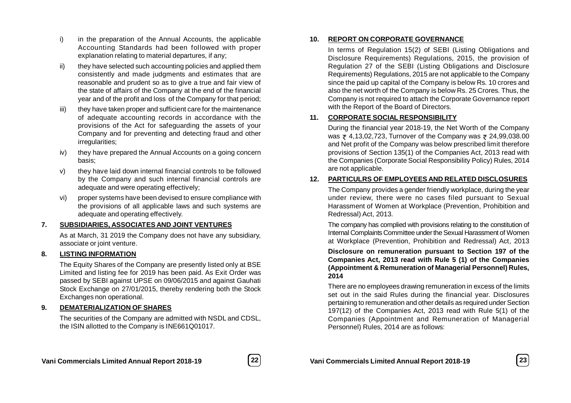- i) in the preparation of the Annual Accounts, the applicable Accounting Standards had been followed with proper explanation relating to material departures, if any;
- ii) they have selected such accounting policies and applied them consistently and made judgments and estimates that are reasonable and prudent so as to give a true and fair view of the state of affairs of the Company at the end of the financial year and of the profit and loss of the Company for that period;
- iii) they have taken proper and sufficient care for the maintenance of adequate accounting records in accordance with the provisions of the Act for safeguarding the assets of your Company and for preventing and detecting fraud and other irregularities;
- iv) they have prepared the Annual Accounts on a going concern basis;
- v) they have laid down internal financial controls to be followed by the Company and such internal financial controls are adequate and were operating effectively;
- vi) proper systems have been devised to ensure compliance with the provisions of all applicable laws and such systems are adequate and operating effectively.

# **7. SUBSIDIARIES, ASSOCIATES AND JOINT VENTURES**

As at March, 31 2019 the Company does not have any subsidiary, associate or joint venture.

# **8. LISTING INFORMATION**

The Equity Shares of the Company are presently listed only at BSE Limited and listing fee for 2019 has been paid. As Exit Order was passed by SEBI against UPSE on 09/06/2015 and against Gauhati Stock Exchange on 27/01/2015, thereby rendering both the Stock Exchanges non operational.

# **9. DEMATERIALIZATION OF SHARES**

The securities of the Company are admitted with NSDL and CDSL, the ISIN allotted to the Company is INE661Q01017.

#### **10. REPORT ON CORPORATE GOVERNANCE**

In terms of Regulation 15(2) of SEBI (Listing Obligations and Disclosure Requirements) Regulations, 2015, the provision of Regulation 27 of the SEBI (Listing Obligations and Disclosure Requirements) Regulations, 2015 are not applicable to the Company since the paid up capital of the Company is below Rs. 10 crores and also the net worth of the Company is below Rs. 25 Crores. Thus, the Company is not required to attach the Corporate Governance report with the Report of the Board of Directors.

# **11. CORPORATE SOCIAL RESPONSIBILITY**

During the financial year 2018-19, the Net Worth of the Company was  $\bar{\tau}$  4,13,02,723, Turnover of the Company was  $\bar{\tau}$  24,99,038.00 and Net profit of the Company was below prescribed limit therefore provisions of Section 135(1) of the Companies Act, 2013 read with the Companies (Corporate Social Responsibility Policy) Rules, 2014 are not applicable.

# **12. PARTICULRS OF EMPLOYEES AND RELATED DISCLOSURES**

The Company provides a gender friendly workplace, during the year under review, there were no cases filed pursuant to Sexual Harassment of Women at Workplace (Prevention, Prohibition and Redressal) Act, 2013.

The company has complied with provisions relating to the constitution of Internal Complaints Committee under the Sexual Harassment of Women at Workplace (Prevention, Prohibition and Redressal) Act, 2013

**Disclosure on remuneration pursuant to Section 197 of the Companies Act, 2013 read with Rule 5 (1) of the Companies (Appointment & Remuneration of Managerial Personnel) Rules, 2014**

There are no employees drawing remuneration in excess of the limits set out in the said Rules during the financial year. Disclosures pertaining to remuneration and other details as required under Section 197(12) of the Companies Act, 2013 read with Rule 5(1) of the Companies (Appointment and Remuneration of Managerial Personnel) Rules, 2014 are as follows:

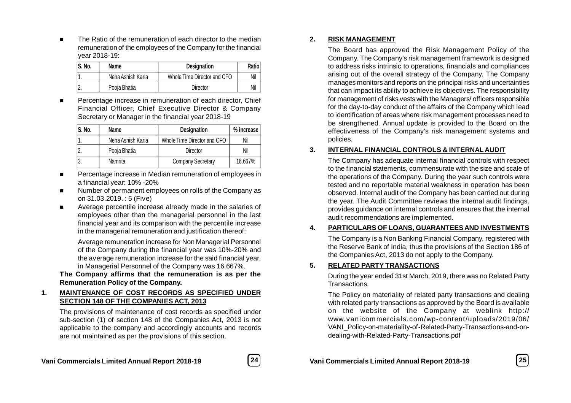The Ratio of the remuneration of each director to the median remuneration of the employees of the Company for the financial year 2018-19:

| S. No. | Name              | <b>Designation</b>          | Ratio |
|--------|-------------------|-----------------------------|-------|
|        | Neha Ashish Karia | Whole Time Director and CFO | Nil   |
|        | Pooia Bhatia      | Director                    | Nil   |

 Percentage increase in remuneration of each director, Chief Financial Officer, Chief Executive Director & Company Secretary or Manager in the financial year 2018-19

| S. No. | Name              | <b>Designation</b>          | % increase |
|--------|-------------------|-----------------------------|------------|
|        | Neha Ashish Karia | Whole Time Director and CFO | Nil        |
|        | Pooja Bhatia      | Director                    | Nil        |
|        | Namrita           | <b>Company Secretary</b>    | 16.667%    |

- Percentage increase in Median remuneration of employees in a financial year: 10% -20%
- Number of permanent employees on rolls of the Company as on 31.03.2019. : 5 (Five)
- Average percentile increase already made in the salaries of employees other than the managerial personnel in the last financial year and its comparison with the percentile increase in the managerial remuneration and justification thereof:

Average remuneration increase for Non Managerial Personnel of the Company during the financial year was 10%-20% and the average remuneration increase for the said financial year, in Managerial Personnel of the Company was 16.667%.

**The Company affirms that the remuneration is as per the Remuneration Policy of the Company.**

# **1. MAINTENANCE OF COST RECORDS AS SPECIFIED UNDER SECTION 148 OF THE COMPANIES ACT, 2013**

The provisions of maintenance of cost records as specified under sub-section (1) of section 148 of the Companies Act, 2013 is not applicable to the company and accordingly accounts and records are not maintained as per the provisions of this section.

**2. RISK MANAGEMENT**

The Board has approved the Risk Management Policy of the Company. The Company's risk management framework is designed to address risks intrinsic to operations, financials and compliances arising out of the overall strategy of the Company. The Company manages monitors and reports on the principal risks and uncertainties that can impact its ability to achieve its objectives. The responsibility for management of risks vests with the Managers/ officers responsible for the day-to-day conduct of the affairs of the Company which lead to identification of areas where risk management processes need to be strengthened. Annual update is provided to the Board on the effectiveness of the Company's risk management systems and policies.

# **3. INTERNAL FINANCIAL CONTROLS & INTERNAL AUDIT**

The Company has adequate internal financial controls with respect to the financial statements, commensurate with the size and scale of the operations of the Company. During the year such controls were tested and no reportable material weakness in operation has been observed. Internal audit of the Company has been carried out during the year. The Audit Committee reviews the internal audit findings, provides guidance on internal controls and ensures that the internal audit recommendations are implemented.

# **4. PARTICULARS OF LOANS, GUARANTEES AND INVESTMENTS**

The Company is a Non Banking Financial Company, registered with the Reserve Bank of India, thus the provisions of the Section 186 of the Companies Act, 2013 do not apply to the Company.

# **5. RELATED PARTY TRANSACTIONS**

During the year ended 31st March, 2019, there was no Related Party Transactions.

The Policy on materiality of related party transactions and dealing with related party transactions as approved by the Board is available on the website of the Company at weblink http:// www.vanicommercials.com/wp-content/uploads/2019/06/ VANI\_Policy-on-materiality-of-Related-Party-Transactions-and-ondealing-with-Related-Party-Transactions.pdf



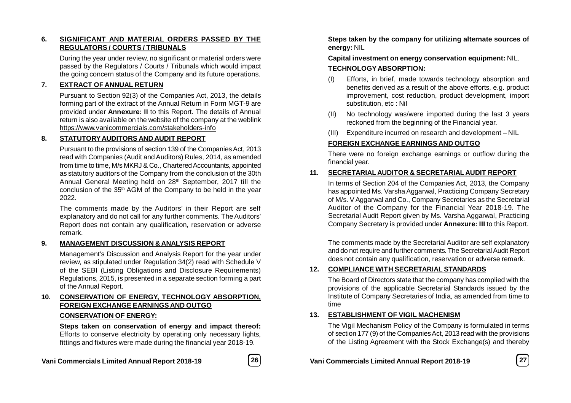# **6. SIGNIFICANT AND MATERIAL ORDERS PASSED BY THE REGULATORS / COURTS / TRIBUNALS**

During the year under review, no significant or material orders were passed by the Regulators / Courts / Tribunals which would impact the going concern status of the Company and its future operations.

# **7. EXTRACT OF ANNUAL RETURN**

Pursuant to Section 92(3) of the Companies Act, 2013, the details forming part of the extract of the Annual Return in Form MGT-9 are provided under **Annexure: II** to this Report. The details of Annual return is also available on the website of the company at the weblink https://www.vanicommercials.com/stakeholders-info

# **8. STATUTORYAUDITORS AND AUDIT REPORT**

Pursuant to the provisions of section 139 of the Companies Act, 2013 read with Companies (Audit and Auditors) Rules, 2014, as amended from time to time, M/s MKRJ & Co., Chartered Accountants, appointed as statutory auditors of the Company from the conclusion of the 30th Annual General Meeting held on 28<sup>th</sup> September, 2017 till the conclusion of the 35<sup>th</sup> AGM of the Company to be held in the year 2022.

The comments made by the Auditors' in their Report are self explanatory and do not call for any further comments. The Auditors' Report does not contain any qualification, reservation or adverse remark.

# **9. MANAGEMENT DISCUSSION & ANALYSIS REPORT**

Management's Discussion and Analysis Report for the year under review, as stipulated under Regulation 34(2) read with Schedule V of the SEBI (Listing Obligations and Disclosure Requirements) Regulations, 2015, is presented in a separate section forming a part of the Annual Report.

# **10. CONSERVATION OF ENERGY, TECHNOLOGY ABSORPTION, FOREIGN EXCHANGE EARNINGS AND OUTGO**

# **CONSERVATION OF ENERGY:**

**Steps taken on conservation of energy and impact thereof:** Efforts to conserve electricity by operating only necessary lights, fittings and fixtures were made during the financial year 2018-19.



**Steps taken by the company for utilizing alternate sources of energy:** NIL

**Capital investment on energy conservation equipment:** NIL.

# **TECHNOLOGYABSORPTION:**

- (I) Efforts, in brief, made towards technology absorption and benefits derived as a result of the above efforts, e.g. product improvement, cost reduction, product development, import substitution, etc : Nil
- (II) No technology was/were imported during the last 3 years reckoned from the beginning of the Financial year.
- (III) Expenditure incurred on research and development NIL

# **FOREIGN EXCHANGE EARNINGS AND OUTGO**

There were no foreign exchange earnings or outflow during the financial year.

# **11. SECRETARIAL AUDITOR & SECRETARIAL AUDIT REPORT**

In terms of Section 204 of the Companies Act, 2013, the Company has appointed Ms. Varsha Aggarwal, Practicing Company Secretary of M/s. V Aggarwal and Co., Company Secretaries as the Secretarial Auditor of the Company for the Financial Year 2018-19. The Secretarial Audit Report given by Ms. Varsha Aggarwal, Practicing Company Secretary is provided under **Annexure: III** to this Report.

The comments made by the Secretarial Auditor are self explanatory and do not require and further comments. The Secretarial Audit Report does not contain any qualification, reservation or adverse remark.

# **12. COMPLIANCE WITH SECRETARIAL STANDARDS**

The Board of Directors state that the company has complied with the provisions of the applicable Secretarial Standards issued by the Institute of Company Secretaries of India, as amended from time to time

# **13. ESTABLISHMENT OF VIGIL MACHENISM**

The Vigil Mechanism Policy of the Company is formulated in terms of section 177 (9) of the Companies Act, 2013 read with the provisions of the Listing Agreement with the Stock Exchange(s) and thereby

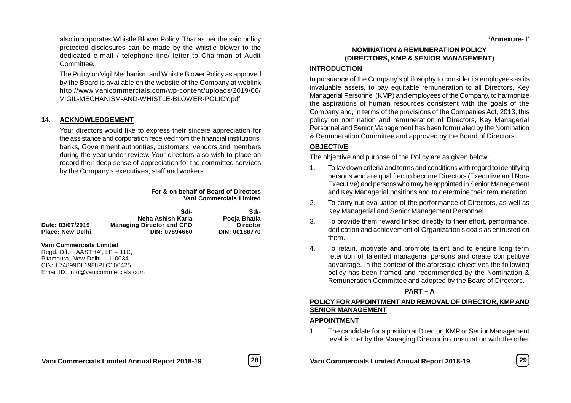also incorporates Whistle Blower Policy. That as per the said policy protected disclosures can be made by the whistle blower to the dedicated e-mail / telephone line/ letter to Chairman of Audit Committee.

The Policy on Vigil Mechanism and Whistle Blower Policy as approved by the Board is available on the website of the Company at weblink http://www.vanicommercials.com/wp-content/uploads/2019/06/ VIGIL-MECHANISM-AND-WHISTLE-BLOWER-POLICY.pdf

#### **14. ACKNOWLEDGEMENT**

Your directors would like to express their sincere appreciation for the assistance and corporation received from the financial institutions, banks, Government authorities, customers, vendors and members during the year under review. Your directors also wish to place on record their deep sense of appreciation for the committed services by the Company's executives, staff and workers.

> **For & on behalf of Board of Directors Vani Commercials Limited**

|                         | Sdl-                             | Sd/-            |
|-------------------------|----------------------------------|-----------------|
|                         | Neha Ashish Karia                | Pooja Bhatia    |
| Date: 03/07/2019        | <b>Managing Director and CFO</b> | <b>Director</b> |
| <b>Place: New Delhi</b> | DIN: 07894660                    | DIN: 00188770   |
|                         |                                  |                 |

**Vani Commercials Limited**

Regd. Off.: 'AASTHA', LP – 11C, Pitampura, New Delhi – 110034 CIN: L74899DL1988PLC106425 Email ID: info@vanicommercials.com

**NOMINATION & REMUNERATION POLICY (DIRECTORS, KMP & SENIOR MANAGEMENT)**

#### **INTRODUCTION**

In pursuance of the Company's philosophy to consider its employees as its invaluable assets, to pay equitable remuneration to all Directors, Key Managerial Personnel (KMP) and employees of the Company, to harmonize the aspirations of human resources consistent with the goals of the Company and, in terms of the provisions of the Companies Act, 2013, this policy on nomination and remuneration of Directors, Key Managerial Personnel and Senior Management has been formulated by the Nomination & Remuneration Committee and approved by the Board of Directors.

#### **OBJECTIVE**

The objective and purpose of the Policy are as given below:

- 1. To lay down criteria and terms and conditions with regard to identifying persons who are qualified to become Directors (Executive and Non-Executive) and persons who may be appointed in Senior Management and Key Managerial positions and to determine their remuneration.
- 2. To carry out evaluation of the performance of Directors, as well as Key Managerial and Senior Management Personnel.
- 3. To provide them reward linked directly to their effort, performance, dedication and achievement of Organization's goals as entrusted on them.
- 4. To retain, motivate and promote talent and to ensure long term retention of talented managerial persons and create competitive advantage. In the context of the aforesaid objectives the following policy has been framed and recommended by the Nomination & Remuneration Committee and adopted by the Board of Directors.

#### **PART – A**

# **POLICY FOR APPOINTMENT AND REMOVAL OF DIRECTOR, KMP AND SENIOR MANAGEMENT**

#### **APPOINTMENT**

1. The candidate for a position at Director, KMP or Senior Management level is met by the Managing Director in consultation with the other

**Vani Commercials Limited Annual Report 2018-19 28 Vani Commercials Limited Annual Report 2018-19 29**



**'Annexure- I'**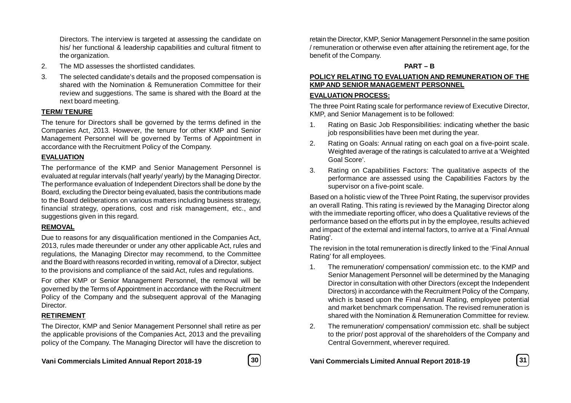Directors. The interview is targeted at assessing the candidate on his/ her functional & leadership capabilities and cultural fitment to the organization.

- 2. The MD assesses the shortlisted candidates.
- 3. The selected candidate's details and the proposed compensation is shared with the Nomination & Remuneration Committee for their review and suggestions. The same is shared with the Board at the next board meeting.

# **TERM/ TENURE**

The tenure for Directors shall be governed by the terms defined in the Companies Act, 2013. However, the tenure for other KMP and Senior Management Personnel will be governed by Terms of Appointment in accordance with the Recruitment Policy of the Company.

# **EVALUATION**

The performance of the KMP and Senior Management Personnel is evaluated at regular intervals (half yearly/ yearly) by the Managing Director. The performance evaluation of Independent Directors shall be done by the Board, excluding the Director being evaluated, basis the contributions made to the Board deliberations on various matters including business strategy, financial strategy, operations, cost and risk management, etc., and suggestions given in this regard.

# **REMOVAL**

Due to reasons for any disqualification mentioned in the Companies Act, 2013, rules made thereunder or under any other applicable Act, rules and regulations, the Managing Director may recommend, to the Committee and the Board with reasons recorded in writing, removal of a Director, subject to the provisions and compliance of the said Act, rules and regulations.

For other KMP or Senior Management Personnel, the removal will be governed by the Terms of Appointment in accordance with the Recruitment Policy of the Company and the subsequent approval of the Managing Director.

# **RETIREMENT**

The Director, KMP and Senior Management Personnel shall retire as per the applicable provisions of the Companies Act, 2013 and the prevailing policy of the Company. The Managing Director will have the discretion to



retain the Director, KMP, Senior Management Personnel in the same position / remuneration or otherwise even after attaining the retirement age, for the benefit of the Company.

# **PART – B**

# **POLICY RELATING TO EVALUATION AND REMUNERATION OF THE KMP AND SENIOR MANAGEMENT PERSONNEL**

# **EVALUATION PROCESS:**

The three Point Rating scale for performance review of Executive Director, KMP, and Senior Management is to be followed:

- 1. Rating on Basic Job Responsibilities: indicating whether the basic job responsibilities have been met during the year.
- 2. Rating on Goals: Annual rating on each goal on a five-point scale. Weighted average of the ratings is calculated to arrive at a 'Weighted Goal Score'.
- 3. Rating on Capabilities Factors: The qualitative aspects of the performance are assessed using the Capabilities Factors by the supervisor on a five-point scale.

Based on a holistic view of the Three Point Rating, the supervisor provides an overall Rating. This rating is reviewed by the Managing Director along with the immediate reporting officer, who does a Qualitative reviews of the performance based on the efforts put in by the employee, results achieved and impact of the external and internal factors, to arrive at a 'Final Annual Rating'.

The revision in the total remuneration is directly linked to the 'Final Annual Rating' for all employees.

- 1. The remuneration/ compensation/ commission etc. to the KMP and Senior Management Personnel will be determined by the Managing Director in consultation with other Directors (except the Independent Directors) in accordance with the Recruitment Policy of the Company, which is based upon the Final Annual Rating, employee potential and market benchmark compensation. The revised remuneration is shared with the Nomination & Remuneration Committee for review.
- 2. The remuneration/ compensation/ commission etc. shall be subject to the prior/ post approval of the shareholders of the Company and Central Government, wherever required.

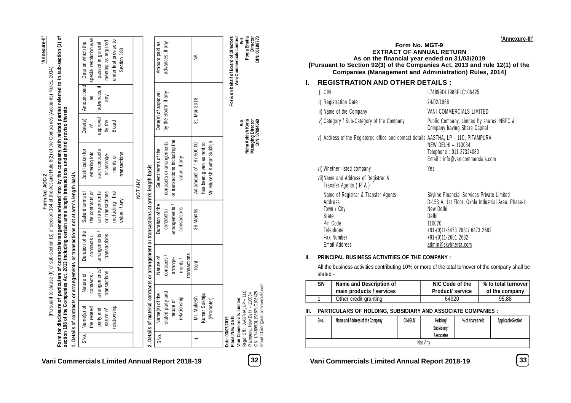'Annexure-II' **'Annexure-II'**

**Form No. AOC-2**

Form for disclosure of particulars of contracts/arrangements entered into by the company with related parties referred to in sub-section (1) of<br>section 188 of the Companies Act, 2013 including certain arms length transacti **Form for disclosure of particulars of con**t**racts/arrangements entered into by the company with related parties referred to in sub-section (1) of** Form No. AOC-2<br>(Pursuant to clause (h) of sub-section (3) of section 134 of the Act and Rule 8(2) of the Companies (Accounts) Rules, 2014) (Pursuant to clause (h) of sub-section (3) of section 134 of the Act and Rule 8(2) of the Companies (Accounts) Rules, 2014)

Date on which the Date on which the Amount paid **section 188 of the Companies Act, 2013 including certain arms length transactions under third proviso thereto** Date(s) Justification for Justification for 1. Details of contracts or arrangements or transactions not at arm's length basis **1. Details of contracts or arrangements or transactions not at arm's length basis** Duration of the Salient terms of Salient terms of Nature of SNo. Name(s) of SNo. | Name(s) of

|      | the related                                                      | contracts /  | contracts /                                                                           | the contracts or |         | entering into                 | đ                                  | æ                    | special resolution was                |  |
|------|------------------------------------------------------------------|--------------|---------------------------------------------------------------------------------------|------------------|---------|-------------------------------|------------------------------------|----------------------|---------------------------------------|--|
|      | party and                                                        | arrangements | arrangements,                                                                         | arrangements     |         | such contracts                | approval                           | advances, if         | passed in general                     |  |
|      | nature of                                                        | transactions | transactions                                                                          | or transactions  |         | or arrange-                   | by the                             | any                  | meeting as required                   |  |
|      | relationship                                                     |              |                                                                                       | including the    |         | ments or                      | <b>Board</b>                       |                      | under first proviso to                |  |
|      |                                                                  |              |                                                                                       | value, if any    |         | transactions                  |                                    |                      | Section 188                           |  |
|      |                                                                  |              |                                                                                       |                  |         |                               |                                    |                      |                                       |  |
|      |                                                                  |              |                                                                                       |                  | NOT ANY |                               |                                    |                      |                                       |  |
|      |                                                                  |              | 2. Details of material contracts or arrangement or transactions at arm's length basis |                  |         |                               |                                    |                      |                                       |  |
| SNo. | Name(s) of the                                                   |              | Nature of                                                                             | Duration of the  |         | Salient terms of the          |                                    | Date(s) of approval  | Amount paid as                        |  |
|      | related party and                                                |              | contracts                                                                             | contracts/       |         | contracts or arrangements     |                                    | by the Board, if any | advances, if any                      |  |
|      | nature of                                                        |              | arrange-                                                                              | arrangements     |         | or transactions including the |                                    |                      |                                       |  |
|      | relationship                                                     |              | ments/                                                                                | transactions     |         | value, if any                 |                                    |                      |                                       |  |
|      |                                                                  |              | transactions                                                                          |                  |         |                               |                                    |                      |                                       |  |
|      | Mr. Mukesh                                                       |              | Rent                                                                                  | 36 Months        |         | An amount of 87,500.00        |                                    | 31-Mar-2018          | ≦                                     |  |
|      | Kumar Sukhija                                                    |              |                                                                                       |                  |         | has been given as rent to     |                                    |                      |                                       |  |
|      | (Promoter)                                                       |              |                                                                                       |                  |         | Mr. Mukesh Kumar Sukhija      |                                    |                      |                                       |  |
|      |                                                                  |              |                                                                                       |                  |         |                               |                                    |                      |                                       |  |
|      | Place: New Delhi<br>Date: 03/07/2019                             |              |                                                                                       |                  |         |                               |                                    |                      | For & on behalf of Board of Directors |  |
|      | Vani Commercials Limited                                         |              |                                                                                       |                  |         |                               | Šđ.                                |                      | Vani Commercials Limited<br>Sd/-      |  |
|      | Regd. Off.: 'AASTHA', LP - 11C,<br>Pitampura, New Delhi - 110034 |              |                                                                                       |                  |         |                               | Neha Ashish Karia                  |                      | Pooja Bhatia<br>Director              |  |
|      | Email ID:info@vanicommercials.com<br>CIN: L74899DL1988PLC106425  |              |                                                                                       |                  |         |                               | Managing Director<br>DIN: 07894660 |                      | DIN: 00188770                         |  |

**Vani Commercials Limited Annual Report 2018-19 32 Vani Commercials Limited Annual Report 2018-19 33**

|     | Form No. MGT-9<br><b>EXTRACT OF ANNUAL RETURN</b><br>As on the financial year ended on 31/03/2019<br>[Pursuant to Section 92(3) of the Companies Act, 2013 and rule 12(1) of the<br><b>Companies (Management and Administration) Rules, 2014]</b> | 'Annexure-l                                                                                                                                                                                                       |
|-----|---------------------------------------------------------------------------------------------------------------------------------------------------------------------------------------------------------------------------------------------------|-------------------------------------------------------------------------------------------------------------------------------------------------------------------------------------------------------------------|
| I.  | <b>REGISTRATION AND OTHER DETAILS:</b>                                                                                                                                                                                                            |                                                                                                                                                                                                                   |
|     | i) CIN                                                                                                                                                                                                                                            | L74899DL1988PLC106425                                                                                                                                                                                             |
|     | ii) Registration Date                                                                                                                                                                                                                             | 24/02/1988                                                                                                                                                                                                        |
|     | iii) Name of the Company                                                                                                                                                                                                                          | VANI COMMERCIALS LIMITED                                                                                                                                                                                          |
|     | iv) Category / Sub-Category of the Company                                                                                                                                                                                                        | Public Company, Limited by shares, NBFC &<br>Company having Share Capital                                                                                                                                         |
|     | v) Address of the Registered office and contact details AASTHA, LP - 11C, PITAMPURA,                                                                                                                                                              | <b>NEW DELHI - 110034</b><br>Telephone: 011-27324080<br>Email: info@vanicommercials.com                                                                                                                           |
|     | vi) Whether listed company                                                                                                                                                                                                                        | Yes                                                                                                                                                                                                               |
|     | vii) Name and Address of Registrar &<br>Transfer Agents (RTA)                                                                                                                                                                                     |                                                                                                                                                                                                                   |
|     | Name of Registrar & Transfer Agents<br>Address<br>Town / City<br>State<br>Pin Code<br>Telephone<br>Fax Number<br>Email Address                                                                                                                    | Skyline Financial Services Private Limited<br>D-153 A, 1st Floor, Okhla Industrial Area, Phase-I<br>New Delhi<br>Delhi<br>110020<br>+91-(0)11-6473 2681/ 6473 2682<br>+91-(0)11-2681 2682<br>admin@skylinerta.com |
| II. | <b>PRINCIPAL BUSINESS ACTIVITIES OF THE COMPANY:</b>                                                                                                                                                                                              |                                                                                                                                                                                                                   |
|     | All the business activities contributing 10% or more of the total turnover of the company shall be                                                                                                                                                |                                                                                                                                                                                                                   |

any shall be stated:-

| SΝ | Name and Description of  | NIC Code of the         | % to total turnover |
|----|--------------------------|-------------------------|---------------------|
|    | main products / services | <b>Product/ service</b> | of the company      |
|    | Other credit granting    | 64920                   | 95.88               |

**III. PARTICULARS OF HOLDING, SUBSIDIARY AND ASSOCIATE COMPANIES :**

| SNo. | Name and Address of the Company | <b>CIN/GLN</b> | Holding/<br><b>Subsidiary/</b><br><b>Associates</b> | % of shares held | <b>Applicable Section</b> |
|------|---------------------------------|----------------|-----------------------------------------------------|------------------|---------------------------|
|      |                                 |                | Not Any                                             |                  |                           |

**'Annexure-III'**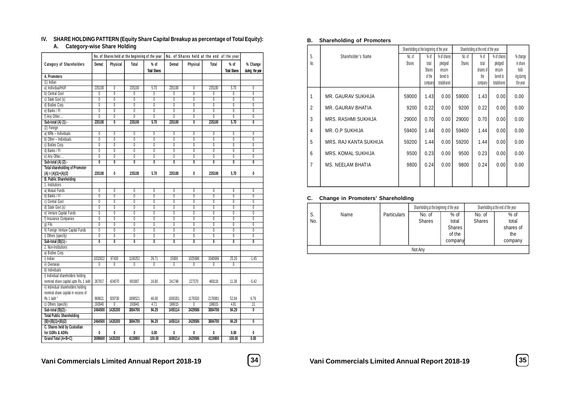# **IV. SHARE HOLDING PATTERN (Equity Share Capital Breakup as percentage of Total Equity):**

# **A. Category-wise Share Holding**

|                                       |                         |                         |                         | No. of Shares held at the beginning of the year |                | No. of Shares held at the end of the year |                         |                     |                           |
|---------------------------------------|-------------------------|-------------------------|-------------------------|-------------------------------------------------|----------------|-------------------------------------------|-------------------------|---------------------|---------------------------|
| Category of Shareholders              | Demat                   | Physical                | Total                   | $%$ of                                          | Demat          | Physical                                  | Total                   | $%$ of              | % Change                  |
|                                       |                         |                         |                         | <b>Total Shares</b>                             |                |                                           |                         | <b>Total Shares</b> | during the year           |
| A. Promoters                          |                         |                         |                         |                                                 |                |                                           |                         |                     |                           |
| $(1)$ Indian                          |                         |                         |                         |                                                 |                |                                           |                         |                     |                           |
| a) Individual/HUF                     | 235100                  | 0                       | 235100                  | 5.70                                            | 235100         | $\overline{0}$                            | 235100                  | 5.70                | $\overline{0}$            |
| b) Central Govt                       | $\overline{0}$          | $\overline{0}$          | 0                       | $\overline{0}$                                  | 0              | $\overline{0}$                            | 0                       | $\overline{0}$      | $\overline{0}$            |
| c) State Govt (s)                     | $\overline{0}$          | $\overline{0}$          | $\overline{0}$          | $\overline{0}$                                  | $\overline{0}$ | $\overline{0}$                            | $\overline{0}$          | $\overline{0}$      | $\overline{0}$            |
| d) Bodies Corp.                       | $\overline{0}$          | $\overline{0}$          | $\overline{0}$          | $\overline{0}$                                  | $\overline{0}$ | $\overline{0}$                            | $\overline{0}$          | $\overline{0}$      | $\overline{0}$            |
| e) Banks / FI                         | $\overline{0}$          | $\overline{0}$          | $\overline{0}$          | $\overline{0}$                                  | $\overline{0}$ | $\overline{0}$                            | $\overline{0}$          | $\overline{0}$      | $\overline{0}$            |
| f) Any Other                          | 0                       | 0                       | 0                       | 0                                               | 0              | 0                                         | 0                       | 0                   | $\overline{0}$            |
| Sub-total (A) (1):-                   | 235100                  | $\overline{0}$          | 235100                  | 5.70                                            | 235100         | $\overline{\mathbf{0}}$                   | 235100                  | 5.70                | $\overline{0}$            |
| (2) Foreign                           |                         |                         |                         |                                                 |                |                                           |                         |                     |                           |
| a) NRIs - Individuals                 | $\overline{0}$          | $\overline{0}$          | $\overline{0}$          | $\overline{0}$                                  | 0              | $\overline{0}$                            | $\overline{0}$          | $\overline{0}$      | $\overline{0}$            |
| b) Other - Individuals                | $\overline{0}$          | $\overline{0}$          | $\overline{0}$          | $\overline{0}$                                  | $\overline{0}$ | $\overline{0}$                            | $\overline{0}$          | $\overline{0}$      | $\overline{0}$            |
| c) Bodies Corp.                       | Ō                       | $\overline{0}$          | $\overline{0}$          | 0                                               | 0              | 0                                         | $\overline{0}$          | 0                   | $\overline{0}$            |
| d) Banks / Fl                         | $\overline{0}$          | $\overline{0}$          | $\overline{0}$          | $\overline{\mathbf{0}}$                         | 0              | $\overline{0}$                            | $\overline{\mathbb{0}}$ | 0                   | $\overline{0}$            |
| e) Any Other                          | 0                       | $\overline{0}$          | $\overline{0}$          | 0                                               | $\overline{0}$ | $\overline{0}$                            | 0                       | $\overline{0}$      | 0                         |
| Sub-total $(A)$ $(2)$ :-              | $\overline{\mathbf{0}}$ | $\overline{\mathbf{0}}$ | $\overline{\mathbf{0}}$ | $\overline{\mathbf{0}}$                         | $\overline{0}$ | $\overline{\mathfrak{o}}$                 | $\overline{\mathbf{0}}$ | $\overline{0}$      | $\overline{\mathbf{0}}$   |
| <b>Total shareholding of Promoter</b> |                         |                         |                         |                                                 |                |                                           |                         |                     |                           |
| $(A) = (A)(1)+(A)(2)$                 | 235100                  | 0                       | 235100                  | 5.70                                            | 235100         | 0                                         | 235100                  | 5.70                | 0                         |
| <b>B. Public Shareholding</b>         |                         |                         |                         |                                                 |                |                                           |                         |                     |                           |
| 1. Institutions                       |                         |                         |                         |                                                 |                |                                           |                         |                     |                           |
| a) Mutual Funds                       | $\overline{0}$          | $\overline{0}$          | $\overline{0}$          | $\overline{0}$                                  | $\overline{0}$ | $\overline{0}$                            | $\overline{0}$          | $\overline{0}$      | $\overline{0}$            |
| b) Banks / FI                         | $\overline{0}$          | $\overline{0}$          | $\overline{0}$          | 0                                               | $\overline{0}$ | $\overline{0}$                            | 0                       | $\overline{0}$      | $\overline{0}$            |
| c) Central Govt                       | Ō                       | $\overline{0}$          | $\overline{0}$          | $\overline{0}$                                  | 0              | $\overline{0}$                            | $\overline{0}$          | $\overline{0}$      | $\overline{0}$            |
| d) State Govt (s)                     | $\overline{0}$          | $\overline{0}$          | $\overline{0}$          | $\overline{0}$                                  | $\overline{0}$ | $\overline{0}$                            | $\overline{0}$          | $\overline{0}$      | $\overline{0}$            |
| e) Venture Capital Funds              | 0                       | 0                       | $\overline{0}$          | 0                                               | 0              | $\overline{0}$                            | 0                       | 0                   | $\overline{0}$            |
| f) Insurance Companies                | $\overline{0}$          | $\overline{0}$          | $\overline{0}$          | 0                                               | $\overline{0}$ | $\overline{0}$                            | 0                       | $\overline{0}$      | $\overline{0}$            |
| $q$ ) Flls                            | $\overline{0}$          | $\overline{0}$          | $\overline{0}$          | $\overline{0}$                                  | $\overline{0}$ | $\overline{0}$                            | $\overline{0}$          | $\overline{0}$      | $\overline{0}$            |
| h) Foreign Venture Capital Funds      | 0                       | $\overline{0}$          | $\overline{0}$          | $\overline{0}$                                  | $\overline{0}$ | $\overline{0}$                            | $\overline{0}$          | $\overline{0}$      | $\overline{0}$            |
| i) Others (specify)                   | $\overline{0}$          | $\overline{0}$          | $\overline{0}$          | $\overline{0}$                                  | $\overline{0}$ | $\overline{0}$                            | $\overline{0}$          | $\overline{0}$      | $\overline{0}$            |
| Sub-total (B)(1):-                    | $\overline{0}$          | $\overline{0}$          | $\overline{0}$          | 0                                               | $\overline{0}$ | $\overline{0}$                            | 0                       | $\overline{0}$      | $\overline{0}$            |
| 2. Non-Institutions                   |                         |                         |                         |                                                 |                |                                           |                         |                     |                           |
| a) Bodies Corp.                       |                         |                         |                         |                                                 |                |                                           |                         |                     |                           |
| i) Indian                             | 1032822                 | 67430                   | 1100252                 | 26.71                                           | 15000          | 1025686                                   | 1040686                 | 25.26               | $-1.45$                   |
| ii) Overseas                          | $\overline{0}$          | $\overline{0}$          | $\overline{0}$          | $\overline{0}$                                  | $\overline{0}$ | $\overline{0}$                            | $\overline{0}$          | $\overline{0}$      |                           |
| b) Individuals                        |                         |                         |                         |                                                 |                |                                           |                         |                     |                           |
| i) Individual shareholders holding    |                         |                         |                         |                                                 |                |                                           |                         |                     |                           |
| nominal share capital upto Rs. 1 lakh | 267917                  | 424070                  | 691987                  | 16.80                                           | 241748         | 227370                                    | 469118                  | 11.38               | $-5.42$                   |
| ii) Individual shareholders holding   |                         |                         |                         |                                                 |                |                                           |                         |                     |                           |
| nominal share capital in excess of    |                         |                         |                         |                                                 |                |                                           |                         |                     |                           |
| Rs 1 lakh *                           | 969821                  | 928700                  | 1898521                 | 46.08                                           | 1000351        | 1176530                                   | 2176881                 | 52.84               | 6.76                      |
| c) Others (specify)                   | 193940                  | $\overline{0}$          | 193940                  | 4.71                                            | 198015         | $\overline{0}$                            | 198015                  | 4.81                | $\overline{.11}$          |
| Sub-total $(B)(2)$ :-                 | 2464500                 | 1420200                 | 3884700                 | 94.29                                           | 1455114        | 2429586                                   | 3884700                 | 94.29               | $\overline{0}$            |
| <b>Total Public Shareholding</b>      |                         |                         |                         |                                                 |                |                                           |                         |                     |                           |
| $(B)=(B)(1)+(B)(2)$                   | 2464500                 | 1420200                 | 3884700                 | 94.29                                           | 1455114        | 2429586                                   | 3884700                 | 94.29               | $\overline{\mathfrak{o}}$ |
| C. Shares held by Custodian           |                         |                         |                         |                                                 |                |                                           |                         |                     |                           |
| for GDRs & ADRs                       | 0                       | 0                       | 0                       | 0.00                                            | 0              | 0                                         | 0                       | 0.00                | 0                         |
| Grand Total (A+B+C)                   | 2699600                 | 1420200                 | 4119800                 | 100.00                                          | 1690214        | 2429586                                   | 4119800                 | 100.00              | 0.00                      |
|                                       |                         |                         |                         |                                                 |                |                                           |                         |                     |                           |

#### **B. Shareholding of Promoters**

|                |                          | Shareholding at the beginning of the year |         |             |               | Shareholding at the end of the year |             |            |
|----------------|--------------------------|-------------------------------------------|---------|-------------|---------------|-------------------------------------|-------------|------------|
| S.             | Shareholder's Name       | No. of                                    | % of    | % of shares | No. of        | % of                                | % of shares | % change   |
| No.            |                          | <b>Shares</b>                             | total   | pled ged/   | <b>Shares</b> | total                               | pledged/    | in share   |
|                |                          |                                           | Shares  | encum-      |               | shares of                           | encum-      | hold-      |
|                |                          |                                           | of the  | bered to    |               | the                                 | bered to    | ing during |
|                |                          |                                           | company | totalshares |               | company                             | totalshares | the year   |
| 1              | MR. GAURAV SUKHIJA       | 59000                                     | 1.43    | 0.00        | 59000         | 1.43                                | 0.00        | 0.00       |
|                |                          |                                           |         |             |               |                                     |             |            |
| $\overline{2}$ | MR. GAURAV BHATIA        | 9200                                      | 0.22    | 0.00        | 9200          | 0.22                                | 0.00        | 0.00       |
| 3              | MRS. RASHMI SUKHIJA      | 29000                                     | 0.70    | 0.00        | 29000         | 0.70                                | 0.00        | 0.00       |
| 4              | MR. O.P SUKHIJA          | 59400                                     | 1.44    | 0.00        | 59400         | 1.44                                | 0.00        | 0.00       |
| 5              | MRS. RAJ KANTA SUKHIJA   | 59200                                     | 1.44    | 0.00        | 59200         | 1.44                                | 0.00        | 0.00       |
| 6              | MRS. KOMAL SUKHIJA       | 9500                                      | 0.23    | 0.00        | 9500          | 0.23                                | 0.00        | 0.00       |
| 7              | <b>MS. NEELAM BHATIA</b> | 9800                                      | 0.24    | 0.00        | 9800          | 0.24                                | 0.00        | 0.00       |
|                |                          |                                           |         |             |               |                                     |             |            |
|                |                          |                                           |         |             |               |                                     |             |            |

#### **C. Change in Promoters' Shareholding**

|     |      |                    | Shareholding at the beginning of the year |               |               | Shareholding at the end of the year |
|-----|------|--------------------|-------------------------------------------|---------------|---------------|-------------------------------------|
| S.  | Name | <b>Particulars</b> | No. of                                    | $%$ of        | No. of        | $%$ of                              |
| No. |      |                    | <b>Shares</b>                             | total         | <b>Shares</b> | total                               |
|     |      |                    |                                           | <b>Shares</b> |               | shares of                           |
|     |      |                    |                                           | of the        |               | the                                 |
|     |      |                    |                                           | company       |               | company                             |
|     |      |                    | Not Any                                   |               |               |                                     |

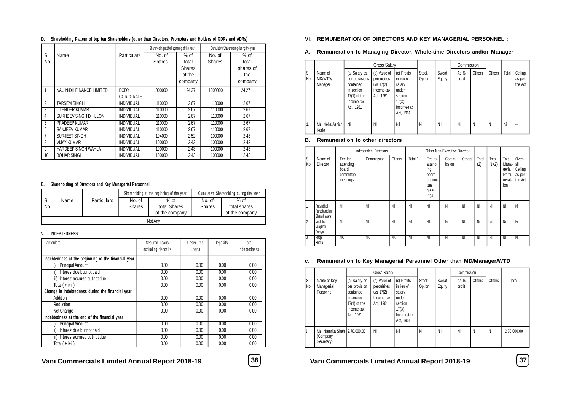|                |                              |                    | Shareholding at the beginning of the year |               |               | Cumulative Shareholding during the year |
|----------------|------------------------------|--------------------|-------------------------------------------|---------------|---------------|-----------------------------------------|
| S.             | Name                         | <b>Particulars</b> | No. of                                    | $%$ of        | No. of        | $%$ of                                  |
| No.            |                              |                    | <b>Shares</b>                             | total         | <b>Shares</b> | total                                   |
|                |                              |                    |                                           | <b>Shares</b> |               | shares of                               |
|                |                              |                    |                                           | of the        |               | the                                     |
|                |                              |                    |                                           | company       |               | company                                 |
|                | NAU NIDH FINANCE LIMITED     | <b>BODY</b>        | 1000000                                   | 24.27         | 1000000       | 24.27                                   |
|                |                              | CORPORATE          |                                           |               |               |                                         |
| $\overline{2}$ | <b>TARSEM SINGH</b>          | <b>INDIVIDUAL</b>  | 110000                                    | 2.67          | 110000        | 2.67                                    |
| 3              | <b>JITENDER KUMAR</b>        | <b>INDIVIDUAL</b>  | 110000                                    | 2.67          | 110000        | 2.67                                    |
| 4              | <b>SUKHDEV SINGH DHILLON</b> | <b>INDIVIDUAL</b>  | 110000                                    | 2.67          | 110000        | 2.67                                    |
| 5              | PRADEEP KUMAR                | <b>INDIVIDUAL</b>  | 110000                                    | 2.67          | 110000        | 2.67                                    |
| 6              | SANJEEV KUMAR                | INDIVIDUAL         | 110000                                    | 2.67          | 110000        | 2.67                                    |
|                | SURJEET SINGH                | <b>INDIVIDUAL</b>  | 104000                                    | 2.52          | 100000        | 2.43                                    |
| 8              | <b>VIJAY KUMAR</b>           | <b>INDIVIDUAL</b>  | 100000                                    | 2.43          | 100000        | 2.43                                    |
| 9              | <b>HARDEEP SINGH WAHLA</b>   | <b>INDIVIDUAL</b>  | 100000                                    | 2.43          | 100000        | 2.43                                    |
| 10             | <b>BOHAR SINGH</b>           | <b>INDIVIDUAL</b>  | 100000                                    | 2.43          | 100000        | 2.43                                    |

#### **D. Shareholding Pattern of top ten Shareholders (other than Directors, Promoters and Holders of GDRs and ADRs)**

#### **E. Shareholding of Directors and Key Managerial Personnel**

|           |      |                    |                         | Shareholding at the beginning of the year | Cumulative Shareholding during the year |                                          |  |
|-----------|------|--------------------|-------------------------|-------------------------------------------|-----------------------------------------|------------------------------------------|--|
| J.<br>No. | Name | <b>Particulars</b> | No. of<br><b>Shares</b> | $%$ of<br>total Shares<br>of the company  | No. of<br><b>Shares</b>                 | $%$ of<br>total shares<br>of the company |  |
|           |      |                    |                         | Not Any                                   |                                         |                                          |  |

#### **V. INDEBTEDNESS:**

| Particulars                                         | Secured Loans<br>excluding deposits | Unsecured<br>Loans | Deposits | Total<br>Indebtedness |
|-----------------------------------------------------|-------------------------------------|--------------------|----------|-----------------------|
| Indebtedness at the beginning of the financial year |                                     |                    |          |                       |
| Principal Amount                                    | 0.00                                | 0.00               | 0.00     | 0.00                  |
| Interest due but not paid<br>ii)                    | 0.00                                | 0.00               | 0.00     | 0.00                  |
| iii) Interest accrued but not due                   | 0.00                                | 0.00               | 0.00     | 0.00                  |
| Total (i+ii+iii)                                    | 0.00                                | 0.00               | 0.00     | 0.00                  |
| Change in Indebtedness during the financial year    |                                     |                    |          |                       |
| Addition                                            | 0.00                                | 0.00               | 0.00     | 0.00                  |
| Reduction                                           | 0.00                                | 0.00               | 0.00     | 0.00                  |
| Net Change                                          | 0.00                                | 0.00               | 0.00     | 0.00                  |
| Indebtedness at the end of the financial year       |                                     |                    |          |                       |
| Principal Amount                                    | 0.00                                | 0.00               | 0.00     | 0.00                  |
| ii)<br>Interest due but not paid                    | 0.00                                | 0.00               | 0.00     | 0.00                  |
| iii) Interest accrued but not due                   | 0.00                                | 0.00               | 0.00     | 0.00                  |
| Total (i+ii+iii)                                    | 0.00                                | 0.00               | 0.00     | 0.00                  |

#### **VI. REMUNERATION OF DIRECTORS AND KEY MANAGERIAL PERSONNEL :**

#### **A. Remuneration to Managing Director, Whole-time Directors and/or Manager**

|           |                               |                                                                                                         | <b>Gross Salary</b>                                                   |                                                                                             |                        |                 | Commission       |        |        |       |                              |
|-----------|-------------------------------|---------------------------------------------------------------------------------------------------------|-----------------------------------------------------------------------|---------------------------------------------------------------------------------------------|------------------------|-----------------|------------------|--------|--------|-------|------------------------------|
| S.<br>No. | Name of<br>MD/WTD/<br>Manager | (a) Salary as<br>per provisions<br>contained<br>in section<br>$17(1)$ of the<br>Income-tax<br>Act, 1961 | (b) Value of<br>perquisites<br>$u/s$ 17(2)<br>Income-tax<br>Act, 1961 | (c) Profits<br>in lieu of<br>salary<br>under<br>section<br>17(3)<br>Income-tax<br>Act, 1961 | <b>Stock</b><br>Option | Sweat<br>Equity | As $%$<br>profit | Others | Others | Total | Ceiling<br>as per<br>the Act |
| 1.        | Ms. Neha Ashish<br>Karia      | Nil                                                                                                     | Nil                                                                   | Nil                                                                                         | Nil                    | Nil             | Nil              | Nil    | Nil    | Nil   |                              |

#### **B. Remuneration to other directors**

|           |                                           |                                                         | <b>Independent Directors</b> |        |         |                                                                       | Other Non-Executive Director |        |              |                  |                                                    |                                              |
|-----------|-------------------------------------------|---------------------------------------------------------|------------------------------|--------|---------|-----------------------------------------------------------------------|------------------------------|--------|--------------|------------------|----------------------------------------------------|----------------------------------------------|
| S.<br>No. | Name of<br>Director                       | Fee for<br>attending<br>board/<br>committee<br>meetings | Commission                   | Others | Total 1 | Fee for<br>attend-<br>ing<br>board<br>commi-<br>ttee<br>meet-<br>ings | Comm-<br>ission              | Others | Total<br>(2) | Total<br>$(1+2)$ | Total<br>Mana-<br>gerial<br>Remu-<br>nerat-<br>ion | Over-<br>all<br>Ceiling<br>as per<br>the Act |
| ь.        | Pravinbhai<br>Parsotambhai<br>Shankhavara | Nil                                                     | Nil                          | Nil    | Nil     | Nil                                                                   | Nil                          | Nil    | Nil          | Nil              | Nil                                                | Nil                                          |
| 2.        | Viralbhai<br>Vijaybhai<br>Dodiya          | Nil                                                     | Nil                          | Nil    | Nil     | Nil                                                                   | Nil                          | Nil    | Nil          | Nil              | Nil                                                | ' Nil                                        |
| 3.        | Pooja<br><b>Bhatia</b>                    | NA                                                      | NA                           | ΝA     | Nil     | Nil                                                                   | Nil                          | Nil    | Nil          | Nil              | Nil                                                | Nil                                          |

#### **c. Remuneration to Key Managerial Personnel Other than MD/Manager/WTD**

|           |                                                          |                                                                                                        | <b>Gross Salary</b>                                                   |                                                                                             |                        |                 | Commission     |        |        |             |
|-----------|----------------------------------------------------------|--------------------------------------------------------------------------------------------------------|-----------------------------------------------------------------------|---------------------------------------------------------------------------------------------|------------------------|-----------------|----------------|--------|--------|-------------|
| S.<br>No. | Name of Key<br>Managerial<br>Personnel                   | (a) Salary as<br>per provision<br>contained<br>in section<br>$17(1)$ of the<br>Income-tax<br>Act, 1961 | (b) Value of<br>perquisites<br>$u/s$ 17(2)<br>Income-tax<br>Act, 1961 | (c) Profits<br>in lieu of<br>salary<br>under<br>section<br>17(3)<br>Income-tax<br>Act, 1961 | <b>Stock</b><br>Option | Sweat<br>Equity | As %<br>profit | Others | Others | Total       |
| Ъ.        | Ms. Namrita Shah   2,70,000.00<br>(Company<br>Secretary) |                                                                                                        | Nil                                                                   | Nil                                                                                         | Nil                    | Nil             | Nil            | Nil    | Nil    | 2,70,000.00 |

**Vani Commercials Limited Annual Report 2018-19 36 Vani Commercials Limited Annual Report 2018-19 37**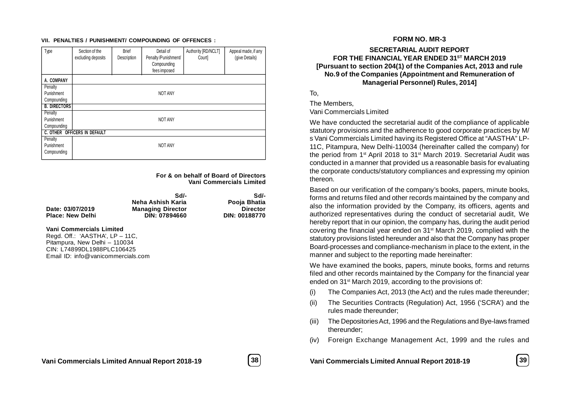#### **VII. PENALTIES / PUNISHMENT/ COMPOUNDING OF OFFENCES :**

| Type                | Section of the<br>excluding deposits | <b>Brief</b><br>Description | Detail of<br>Penalty /Punishment/<br>Compounding<br>fees imposed | Authority [RD/NCLT]<br>Court | Appeal made, if any<br>(give Details) |
|---------------------|--------------------------------------|-----------------------------|------------------------------------------------------------------|------------------------------|---------------------------------------|
| A. COMPANY          |                                      |                             |                                                                  |                              |                                       |
| Penalty             |                                      |                             |                                                                  |                              |                                       |
| Punishment          |                                      |                             | <b>NOT ANY</b>                                                   |                              |                                       |
| Compounding         |                                      |                             |                                                                  |                              |                                       |
| <b>B. DIRECTORS</b> |                                      |                             |                                                                  |                              |                                       |
| Penalty             |                                      |                             |                                                                  |                              |                                       |
| Punishment          |                                      |                             | <b>NOT ANY</b>                                                   |                              |                                       |
| Compounding         |                                      |                             |                                                                  |                              |                                       |
|                     | <b>C. OTHER OFFICERS IN DEFAULT</b>  |                             |                                                                  |                              |                                       |
| Penalty             |                                      |                             |                                                                  |                              |                                       |
| Punishment          |                                      |                             | <b>NOT ANY</b>                                                   |                              |                                       |
| Compounding         |                                      |                             |                                                                  |                              |                                       |

**For & on behalf of Board of Directors Vani Commercials Limited**

|                         | Sd/-                     | Sd/-                 |
|-------------------------|--------------------------|----------------------|
|                         | Neha Ashish Karia        | Pooja Bhatia         |
| Date: 03/07/2019        | <b>Managing Director</b> | <b>Director</b>      |
| <b>Place: New Delhi</b> | DIN: 07894660            | <b>DIN: 00188770</b> |

#### **Vani Commercials Limited**

Regd. Off.: 'AASTHA', LP – 11C, Pitampura, New Delhi – 110034 CIN: L74899DL1988PLC106425 Email ID: info@vanicommercials.com

**FORM NO. MR-3**

### **SECRETARIAL AUDIT REPORT FOR THE FINANCIAL YEAR ENDED 31ST MARCH 2019 [Pursuant to section 204(1) of the Companies Act, 2013 and rule No.9 of the Companies (Appointment and Remuneration of Managerial Personnel) Rules, 2014]**

To,

The Members,

Vani Commercials Limited

We have conducted the secretarial audit of the compliance of applicable statutory provisions and the adherence to good corporate practices by M/ s Vani Commercials Limited having its Registered Office at "AASTHA" LP-11C, Pitampura, New Delhi-110034 (hereinafter called the company) for the period from 1<sup>st</sup> April 2018 to 31<sup>st</sup> March 2019. Secretarial Audit was conducted in a manner that provided us a reasonable basis for evaluating the corporate conducts/statutory compliances and expressing my opinion thereon.

Based on our verification of the company's books, papers, minute books, forms and returns filed and other records maintained by the company and also the information provided by the Company, its officers, agents and authorized representatives during the conduct of secretarial audit, We hereby report that in our opinion, the company has, during the audit period covering the financial year ended on 31st March 2019, complied with the statutory provisions listed hereunder and also that the Company has proper Board-processes and compliance-mechanism in place to the extent, in the manner and subject to the reporting made hereinafter:

We have examined the books, papers, minute books, forms and returns filed and other records maintained by the Company for the financial year ended on 31<sup>st</sup> March 2019, according to the provisions of:

- (i) The Companies Act, 2013 (the Act) and the rules made thereunder;
- (ii) The Securities Contracts (Regulation) Act, 1956 ('SCRA') and the rules made thereunder;
- (iii) The Depositories Act, 1996 and the Regulations and Bye-laws framed thereunder;
- (iv) Foreign Exchange Management Act, 1999 and the rules and

**Vani Commercials Limited Annual Report 2018-19 38 Vani Commercials Limited Annual Report 2018-19 39**

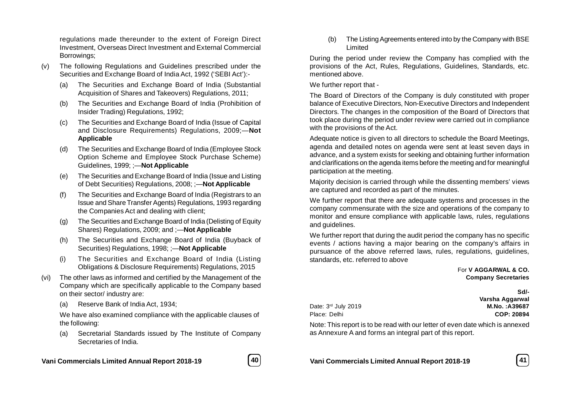regulations made thereunder to the extent of Foreign Direct Investment, Overseas Direct Investment and External Commercial Borrowings;

- (v) The following Regulations and Guidelines prescribed under the Securities and Exchange Board of India Act, 1992 ('SEBI Act'):-
	- (a) The Securities and Exchange Board of India (Substantial Acquisition of Shares and Takeovers) Regulations, 2011;
	- (b) The Securities and Exchange Board of India (Prohibition of Insider Trading) Regulations, 1992;
	- (c) The Securities and Exchange Board of India (Issue of Capital and Disclosure Requirements) Regulations, 2009;—**Not Applicable**
	- (d) The Securities and Exchange Board of India (Employee Stock Option Scheme and Employee Stock Purchase Scheme) Guidelines, 1999; ;—**Not Applicable**
	- (e) The Securities and Exchange Board of India (Issue and Listing of Debt Securities) Regulations, 2008; ;—**Not Applicable**
	- (f) The Securities and Exchange Board of India (Registrars to an Issue and Share Transfer Agents) Regulations, 1993 regarding the Companies Act and dealing with client;
	- (g) The Securities and Exchange Board of India (Delisting of Equity Shares) Regulations, 2009; and ;—**Not Applicable**
	- (h) The Securities and Exchange Board of India (Buyback of Securities) Regulations, 1998; ;—**Not Applicable**
	- (i) The Securities and Exchange Board of India (Listing Obligations & Disclosure Requirements) Regulations, 2015
- (vi) The other laws as informed and certified by the Management of the Company which are specifically applicable to the Company based on their sector/ industry are:
	- (a) Reserve Bank of India Act, 1934;

We have also examined compliance with the applicable clauses of the following:

(a) Secretarial Standards issued by The Institute of Company Secretaries of India.

**Vani Commercials Limited Annual Report 2018-19 40 Vani Commercials Limited Annual Report 2018-19 41**



(b) The Listing Agreements entered into by the Company with BSE Limited

During the period under review the Company has complied with the provisions of the Act, Rules, Regulations, Guidelines, Standards, etc. mentioned above.

#### We further report that -

The Board of Directors of the Company is duly constituted with proper balance of Executive Directors, Non-Executive Directors and Independent Directors. The changes in the composition of the Board of Directors that took place during the period under review were carried out in compliance with the provisions of the Act.

Adequate notice is given to all directors to schedule the Board Meetings, agenda and detailed notes on agenda were sent at least seven days in advance, and a system exists for seeking and obtaining further information and clarifications on the agenda items before the meeting and for meaningful participation at the meeting.

Majority decision is carried through while the dissenting members' views are captured and recorded as part of the minutes.

We further report that there are adequate systems and processes in the company commensurate with the size and operations of the company to monitor and ensure compliance with applicable laws, rules, regulations and guidelines.

We further report that during the audit period the company has no specific events / actions having a major bearing on the company's affairs in pursuance of the above referred laws, rules, regulations, guidelines, standards, etc. referred to above

#### For **V AGGARWAL & CO. Company Secretaries**

**Sd/- Varsha Aggarwal** Date: 3rd July 2019 **M.No. :A39687** Place: Delhi **COP: 20894**

Note: This report is to be read with our letter of even date which is annexed as Annexure A and forms an integral part of this report.

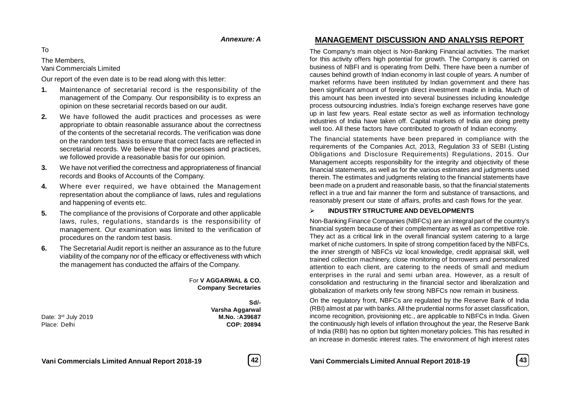#### *Annexure: A*

To

The Members,

Vani Commercials Limited

Our report of the even date is to be read along with this letter:

- **1.** Maintenance of secretarial record is the responsibility of the management of the Company. Our responsibility is to express an opinion on these secretarial records based on our audit.
- **2.** We have followed the audit practices and processes as were appropriate to obtain reasonable assurance about the correctness of the contents of the secretarial records. The verification was done on the random test basis to ensure that correct facts are reflected in secretarial records. We believe that the processes and practices, we followed provide a reasonable basis for our opinion.
- **3.** We have not verified the correctness and appropriateness of financial records and Books of Accounts of the Company.
- **4.** Where ever required, we have obtained the Management representation about the compliance of laws, rules and regulations and happening of events etc.
- **5.** The compliance of the provisions of Corporate and other applicable laws, rules, regulations, standards is the responsibility of management. Our examination was limited to the verification of procedures on the random test basis.
- **6.** The Secretarial Audit report is neither an assurance as to the future viability of the company nor of the efficacy or effectiveness with which the management has conducted the affairs of the Company.

For **V AGGARWAL & CO. Company Secretaries**

Date: 3rd July 2019 **M.No. :A39687** Place: Delhi **COP: 20894**

**Sd/- Varsha Aggarwal**

# **MANAGEMENT DISCUSSION AND ANALYSIS REPORT**

The Company's main object is Non-Banking Financial activities. The market for this activity offers high potential for growth. The Company is carried on business of NBFI and is operating from Delhi. There have been a number of causes behind growth of Indian economy in last couple of years. A number of market reforms have been instituted by Indian government and there has been significant amount of foreign direct investment made in India. Much of this amount has been invested into several businesses including knowledge process outsourcing industries. India's foreign exchange reserves have gone up in last few years. Real estate sector as well as information technology industries of India have taken off. Capital markets of India are doing pretty well too. All these factors have contributed to growth of Indian economy.

The financial statements have been prepared in compliance with the requirements of the Companies Act, 2013, Regulation 33 of SEBI (Listing Obligations and Disclosure Requirements) Regulations, 2015. Our Management accepts responsibility for the integrity and objectivity of these financial statements, as well as for the various estimates and judgments used therein. The estimates and judgments relating to the financial statements have been made on a prudent and reasonable basis, so that the financial statements reflect in a true and fair manner the form and substance of transactions, and reasonably present our state of affairs, profits and cash flows for the year.

#### **INDUSTRY STRUCTURE AND DEVELOPMENTS**

Non-Banking Finance Companies (NBFCs) are an integral part of the country's financial system because of their complementary as well as competitive role. They act as a critical link in the overall financial system catering to a large market of niche customers. In spite of strong competition faced by the NBFCs, the inner strength of NBFCs viz local knowledge, credit appraisal skill, well trained collection machinery, close monitoring of borrowers and personalized attention to each client, are catering to the needs of small and medium enterprises in the rural and semi urban area. However, as a result of consolidation and restructuring in the financial sector and liberalization and globalization of markets only few strong NBFCs now remain in business.

On the regulatory front, NBFCs are regulated by the Reserve Bank of India (RBI) almost at par with banks. All the prudential norms for asset classification, income recognition, provisioning etc., are applicable to NBFCs in India. Given the continuously high levels of inflation throughout the year, the Reserve Bank of India (RBI) has no option but tighten monetary policies. This has resulted in an increase in domestic interest rates. The environment of high interest rates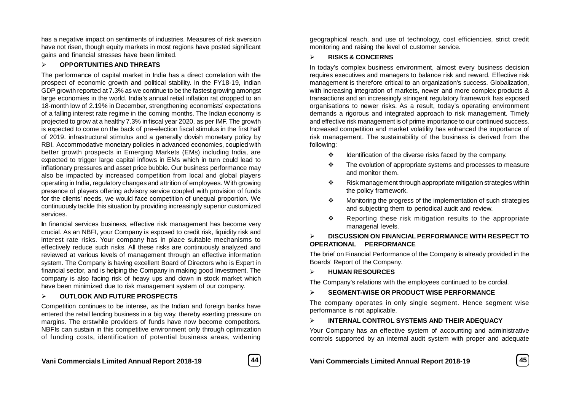has a negative impact on sentiments of industries. Measures of risk aversion have not risen, though equity markets in most regions have posted significant gains and financial stresses have been limited.

#### **OPPORTUNITIES AND THREATS**

The performance of capital market in India has a direct correlation with the prospect of economic growth and political stability. In the FY18-19, Indian GDP growth reported at 7.3% as we continue to be the fastest growing amongst large economies in the world. India's annual retial inflation rat dropped to an 18-month low of 2.19% in December, strengthening economists' expectations of a falling interest rate regime in the coming months. The Indian economy is projected to grow at a healthy 7.3% in fiscal year 2020, as per IMF. The growth is expected to come on the back of pre-election fiscal stimulus in the first half of 2019. infrastructural stimulus and a generally dovish monetary policy by RBI. Accommodative monetary policies in advanced economies, coupled with better growth prospects in Emerging Markets (EMs) including India, are expected to trigger large capital inflows in EMs which in turn could lead to inflationary pressures and asset price bubble. Our business performance may also be impacted by increased competition from local and global players operating in India, regulatory changes and attrition of employees. With growing presence of players offering advisory service coupled with provision of funds for the clients' needs, we would face competition of unequal proportion. We continuously tackle this situation by providing increasingly superior customized services.

**I**n financial services business, effective risk management has become very crucial. As an NBFI, your Company is exposed to credit risk, liquidity risk and interest rate risks. Your company has in place suitable mechanisms to effectively reduce such risks. All these risks are continuously analyzed and reviewed at various levels of management through an effective information system. The Company is having excellent Board of Directors who is Expert in financial sector, and is helping the Company in making good Investment. The company is also facing risk of heavy ups and down in stock market which have been minimized due to risk management system of our company.

#### **OUTLOOK AND FUTURE PROSPECTS**

Competition continues to be intense, as the Indian and foreign banks have entered the retail lending business in a big way, thereby exerting pressure on margins. The erstwhile providers of funds have now become competitors. NBFIs can sustain in this competitive environment only through optimization of funding costs, identification of potential business areas, widening



geographical reach, and use of technology, cost efficiencies, strict credit monitoring and raising the level of customer service.

#### **RISKS & CONCERNS**

In today's complex business environment, almost every business decision requires executives and managers to balance risk and reward. Effective risk management is therefore critical to an organization's success. Globalization, with increasing integration of markets, newer and more complex products & transactions and an increasingly stringent regulatory framework has exposed organisations to newer risks. As a result, today's operating environment demands a rigorous and integrated approach to risk management. Timely and effective risk management is of prime importance to our continued success. Increased competition and market volatility has enhanced the importance of risk management. The sustainability of the business is derived from the following:

- $\div$  Identification of the diverse risks faced by the company.
- $\div$  The evolution of appropriate systems and processes to measure and monitor them.
- $\cdot \cdot$  Risk management through appropriate mitigation strategies within the policy framework.
- $\cdot \cdot$  Monitoring the progress of the implementation of such strategies and subjecting them to periodical audit and review.
- $\div$  Reporting these risk mitigation results to the appropriate managerial levels.

# **DISCUSSION ON FINANCIAL PERFORMANCE WITH RESPECT TO OPERATIONAL PERFORMANCE**

The brief on Financial Performance of the Company is already provided in the Boards' Report of the Company.

**HUMAN RESOURCES**

The Company's relations with the employees continued to be cordial.

# **SEGMENT-WISE OR PRODUCT WISE PERFORMANCE**

The company operates in only single segment. Hence segment wise performance is not applicable.

# **INTERNAL CONTROL SYSTEMS AND THEIR ADEQUACY**

Your Company has an effective system of accounting and administrative controls supported by an internal audit system with proper and adequate

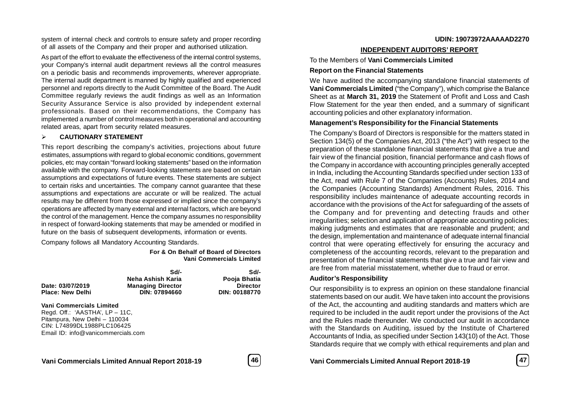system of internal check and controls to ensure safety and proper recording of all assets of the Company and their proper and authorised utilization.

As part of the effort to evaluate the effectiveness of the internal control systems, your Company's internal audit department reviews all the control measures on a periodic basis and recommends improvements, wherever appropriate. The internal audit department is manned by highly qualified and experienced personnel and reports directly to the Audit Committee of the Board. The Audit Committee regularly reviews the audit findings as well as an Information Security Assurance Service is also provided by independent external professionals. Based on their recommendations, the Company has implemented a number of control measures both in operational and accounting related areas, apart from security related measures.

#### **CAUTIONARY STATEMENT**

This report describing the company's activities, projections about future estimates, assumptions with regard to global economic conditions, government policies, etc may contain "forward looking statements" based on the information available with the company. Forward-looking statements are based on certain assumptions and expectations of future events. These statements are subject to certain risks and uncertainties. The company cannot guarantee that these assumptions and expectations are accurate or will be realized. The actual results may be different from those expressed or implied since the company's operations are affected by many external and internal factors, which are beyond the control of the management. Hence the company assumes no responsibility in respect of forward-looking statements that may be amended or modified in future on the basis of subsequent developments, information or events.

Company follows all Mandatory Accounting Standards.

**For & On Behalf of Board of Directors Vani Commercials Limited**

|                          | Sdl-                     | Sd/-            |
|--------------------------|--------------------------|-----------------|
|                          | Neha Ashish Karia        | Pooja Bhatia    |
| Date: 03/07/2019         | <b>Managing Director</b> | <b>Director</b> |
| <b>Place: New Delhi</b>  | DIN: 07894660            | DIN: 00188770   |
| Mant Campanatala Limitad |                          |                 |

**Vani Commercials Limited** Regd. Off.: 'AASTHA', LP – 11C, Pitampura, New Delhi – 110034 CIN: L74899DL1988PLC106425 Email ID: info@vanicommercials.com

#### **INDEPENDENT AUDITORS' REPORT**

To the Members of **Vani Commercials Limited**

#### **Report on the Financial Statements**

We have audited the accompanying standalone financial statements of **Vani Commercials Limited** ("the Company"), which comprise the Balance Sheet as at **March 31, 2019** the Statement of Profit and Loss and Cash Flow Statement for the year then ended, and a summary of significant accounting policies and other explanatory information.

#### **Management's Responsibility for the Financial Statements**

The Company's Board of Directors is responsible for the matters stated in Section 134(5) of the Companies Act, 2013 ("the Act") with respect to the preparation of these standalone financial statements that give a true and fair view of the financial position, financial performance and cash flows of the Company in accordance with accounting principles generally accepted in India, including the Accounting Standards specified under section 133 of the Act, read with Rule 7 of the Companies (Accounts) Rules, 2014 and the Companies (Accounting Standards) Amendment Rules, 2016. This responsibility includes maintenance of adequate accounting records in accordance with the provisions of the Act for safeguarding of the assets of the Company and for preventing and detecting frauds and other irregularities; selection and application of appropriate accounting policies; making judgments and estimates that are reasonable and prudent; and the design, implementation and maintenance of adequate internal financial control that were operating effectively for ensuring the accuracy and completeness of the accounting records, relevant to the preparation and presentation of the financial statements that give a true and fair view and are free from material misstatement, whether due to fraud or error.

#### **Auditor's Responsibility**

Our responsibility is to express an opinion on these standalone financial statements based on our audit. We have taken into account the provisions of the Act, the accounting and auditing standards and matters which are required to be included in the audit report under the provisions of the Act and the Rules made thereunder. We conducted our audit in accordance with the Standards on Auditing, issued by the Institute of Chartered Accountants of India, as specified under Section 143(10) of the Act. Those Standards require that we comply with ethical requirements and plan and

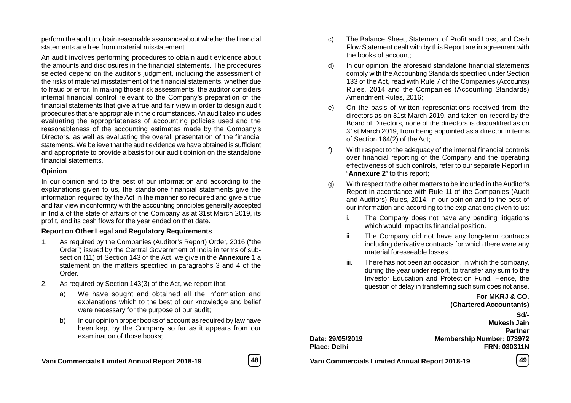perform the audit to obtain reasonable assurance about whether the financial statements are free from material misstatement.

An audit involves performing procedures to obtain audit evidence about the amounts and disclosures in the financial statements. The procedures selected depend on the auditor's judgment, including the assessment of the risks of material misstatement of the financial statements, whether due to fraud or error. In making those risk assessments, the auditor considers internal financial control relevant to the Company's preparation of the financial statements that give a true and fair view in order to design audit procedures that are appropriate in the circumstances. An audit also includes evaluating the appropriateness of accounting policies used and the reasonableness of the accounting estimates made by the Company's Directors, as well as evaluating the overall presentation of the financial statements. We believe that the audit evidence we have obtained is sufficient and appropriate to provide a basis for our audit opinion on the standalone financial statements.

#### **Opinion**

In our opinion and to the best of our information and according to the explanations given to us, the standalone financial statements give the information required by the Act in the manner so required and give a true and fair view in conformity with the accounting principles generally accepted in India of the state of affairs of the Company as at 31st March 2019, its profit, and its cash flows for the year ended on that date.

# **Report on Other Legal and Regulatory Requirements**

- 1. As required by the Companies (Auditor's Report) Order, 2016 ("the Order") issued by the Central Government of India in terms of subsection (11) of Section 143 of the Act, we give in the **Annexure 1** a statement on the matters specified in paragraphs 3 and 4 of the Order.
- 2. As required by Section 143(3) of the Act, we report that:
	- a) We have sought and obtained all the information and explanations which to the best of our knowledge and belief were necessary for the purpose of our audit;
	- b) In our opinion proper books of account as required by law have been kept by the Company so far as it appears from our examination of those books;
- **Vani Commercials Limited Annual Report 2018-19 48 Vani Commercials Limited Annual Report 2018-19 49**

c) The Balance Sheet, Statement of Profit and Loss, and Cash Flow Statement dealt with by this Report are in agreement with the books of account;

- d) In our opinion, the aforesaid standalone financial statements comply with the Accounting Standards specified under Section 133 of the Act, read with Rule 7 of the Companies (Accounts) Rules, 2014 and the Companies (Accounting Standards) Amendment Rules, 2016;
- e) On the basis of written representations received from the directors as on 31st March 2019, and taken on record by the Board of Directors, none of the directors is disqualified as on 31st March 2019, from being appointed as a director in terms of Section 164(2) of the Act;
- f) With respect to the adequacy of the internal financial controls over financial reporting of the Company and the operating effectiveness of such controls, refer to our separate Report in "**Annexure 2**" to this report;
- g) With respect to the other matters to be included in the Auditor's Report in accordance with Rule 11 of the Companies (Audit and Auditors) Rules, 2014, in our opinion and to the best of our information and according to the explanations given to us:
	- i. The Company does not have any pending litigations which would impact its financial position.
	- ii. The Company did not have any long-term contracts including derivative contracts for which there were any material foreseeable losses.
	- iii. There has not been an occasion, in which the company, during the year under report, to transfer any sum to the Investor Education and Protection Fund. Hence, the question of delay in transferring such sum does not arise.

**For MKRJ & CO. (Chartered Accountants)**

**Sd/- Mukesh Jain Partner Date: 29/05/2019 Membership Number: 073972 Place: Delhi FRN: 030311N**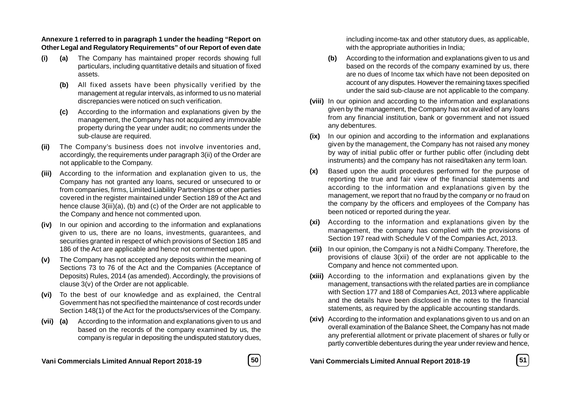#### **Annexure 1 referred to in paragraph 1 under the heading "Report on Other Legal and Regulatory Requirements" of our Report of even date**

- **(i) (a)** The Company has maintained proper records showing full particulars, including quantitative details and situation of fixed assets.
	- **(b)** All fixed assets have been physically verified by the management at regular intervals, as informed to us no material discrepancies were noticed on such verification.
	- **(c)** According to the information and explanations given by the management, the Company has not acquired any immovable property during the year under audit; no comments under the sub-clause are required.
- **(ii)** The Company's business does not involve inventories and, accordingly, the requirements under paragraph 3(ii) of the Order are not applicable to the Company.
- **(iii)** According to the information and explanation given to us, the Company has not granted any loans, secured or unsecured to or from companies, firms, Limited Liability Partnerships or other parties covered in the register maintained under Section 189 of the Act and hence clause 3(iii)(a), (b) and (c) of the Order are not applicable to the Company and hence not commented upon.
- **(iv)** In our opinion and according to the information and explanations given to us, there are no loans, investments, guarantees, and securities granted in respect of which provisions of Section 185 and 186 of the Act are applicable and hence not commented upon.
- **(v)** The Company has not accepted any deposits within the meaning of Sections 73 to 76 of the Act and the Companies (Acceptance of Deposits) Rules, 2014 (as amended). Accordingly, the provisions of clause 3(v) of the Order are not applicable.
- **(vi)** To the best of our knowledge and as explained, the Central Government has not specified the maintenance of cost records under Section 148(1) of the Act for the products/services of the Company.
- **(vii) (a)** According to the information and explanations given to us and based on the records of the company examined by us, the company is regular in depositing the undisputed statutory dues,



including income-tax and other statutory dues, as applicable, with the appropriate authorities in India;

- **(b)** According to the information and explanations given to us and based on the records of the company examined by us, there are no dues of Income tax which have not been deposited on account of any disputes. However the remaining taxes specified under the said sub-clause are not applicable to the company.
- **(viii)** In our opinion and according to the information and explanations given by the management, the Company has not availed of any loans from any financial institution, bank or government and not issued any debentures.
- **(ix)** In our opinion and according to the information and explanations given by the management, the Company has not raised any money by way of initial public offer or further public offer (including debt instruments) and the company has not raised/taken any term loan.
- **(x)** Based upon the audit procedures performed for the purpose of reporting the true and fair view of the financial statements and according to the information and explanations given by the management, we report that no fraud by the company or no fraud on the company by the officers and employees of the Company has been noticed or reported during the year.
- **(xi)** According to the information and explanations given by the management, the company has complied with the provisions of Section 197 read with Schedule V of the Companies Act, 2013.
- **(xii)** In our opinion, the Company is not a Nidhi Company. Therefore, the provisions of clause 3(xii) of the order are not applicable to the Company and hence not commented upon.
- **(xiii)** According to the information and explanations given by the management, transactions with the related parties are in compliance with Section 177 and 188 of Companies Act, 2013 where applicable and the details have been disclosed in the notes to the financial statements, as required by the applicable accounting standards.
- **(xiv)** According to the information and explanations given to us and on an overall examination of the Balance Sheet, the Company has not made any preferential allotment or private placement of shares or fully or partly convertible debentures during the year under review and hence,

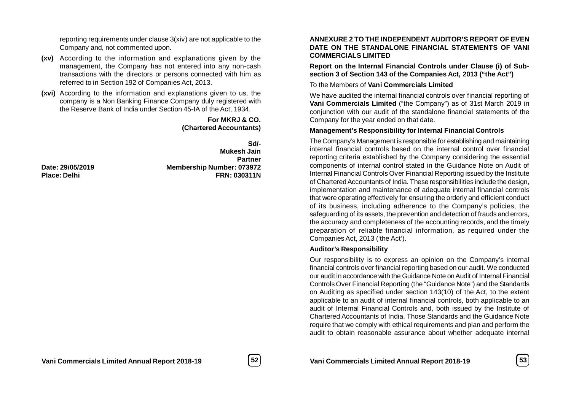reporting requirements under clause 3(xiv) are not applicable to the Company and, not commented upon.

- **(xv)** According to the information and explanations given by the management, the Company has not entered into any non-cash transactions with the directors or persons connected with him as referred to in Section 192 of Companies Act, 2013.
- **(xvi)** According to the information and explanations given to us, the company is a Non Banking Finance Company duly registered with the Reserve Bank of India under Section 45-IA of the Act, 1934.

**For MKRJ & CO. (Chartered Accountants)**

**Sd/- Mukesh Jain Partner Date: 29/05/2019 Membership Number: 073972 Place: Delhi FRN: 030311N**

#### **ANNEXURE 2 TO THE INDEPENDENT AUDITOR'S REPORT OF EVEN DATE ON THE STANDALONE FINANCIAL STATEMENTS OF VANI COMMERCIALS LIMITED**

**Report on the Internal Financial Controls under Clause (i) of Subsection 3 of Section 143 of the Companies Act, 2013 ("the Act")**

To the Members of **Vani Commercials Limited**

We have audited the internal financial controls over financial reporting of **Vani Commercials Limited** ("the Company") as of 31st March 2019 in conjunction with our audit of the standalone financial statements of the Company for the year ended on that date.

#### **Management's Responsibility for Internal Financial Controls**

The Company's Management is responsible for establishing and maintaining internal financial controls based on the internal control over financial reporting criteria established by the Company considering the essential components of internal control stated in the Guidance Note on Audit of Internal Financial Controls Over Financial Reporting issued by the Institute of Chartered Accountants of India. These responsibilities include the design, implementation and maintenance of adequate internal financial controls that were operating effectively for ensuring the orderly and efficient conduct of its business, including adherence to the Company's policies, the safeguarding of its assets, the prevention and detection of frauds and errors, the accuracy and completeness of the accounting records, and the timely preparation of reliable financial information, as required under the Companies Act, 2013 ('the Act').

#### **Auditor's Responsibility**

Our responsibility is to express an opinion on the Company's internal financial controls over financial reporting based on our audit. We conducted our audit in accordance with the Guidance Note on Audit of Internal Financial Controls Over Financial Reporting (the "Guidance Note") and the Standards on Auditing as specified under section 143(10) of the Act, to the extent applicable to an audit of internal financial controls, both applicable to an audit of Internal Financial Controls and, both issued by the Institute of Chartered Accountants of India. Those Standards and the Guidance Note require that we comply with ethical requirements and plan and perform the audit to obtain reasonable assurance about whether adequate internal



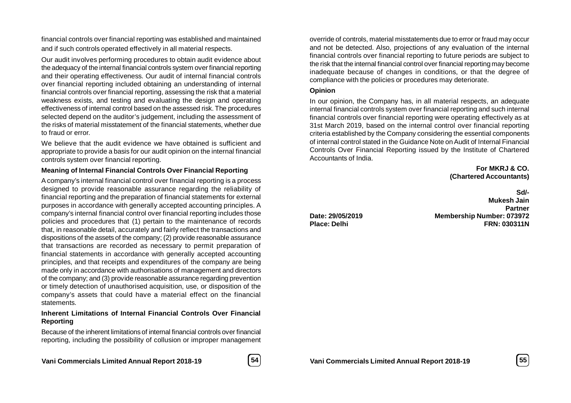financial controls over financial reporting was established and maintained and if such controls operated effectively in all material respects.

Our audit involves performing procedures to obtain audit evidence about the adequacy of the internal financial controls system over financial reporting and their operating effectiveness. Our audit of internal financial controls over financial reporting included obtaining an understanding of internal financial controls over financial reporting, assessing the risk that a material weakness exists, and testing and evaluating the design and operating effectiveness of internal control based on the assessed risk. The procedures selected depend on the auditor's judgement, including the assessment of the risks of material misstatement of the financial statements, whether due to fraud or error.

We believe that the audit evidence we have obtained is sufficient and appropriate to provide a basis for our audit opinion on the internal financial controls system over financial reporting.

#### **Meaning of Internal Financial Controls Over Financial Reporting**

A company's internal financial control over financial reporting is a process designed to provide reasonable assurance regarding the reliability of financial reporting and the preparation of financial statements for external purposes in accordance with generally accepted accounting principles. A company's internal financial control over financial reporting includes those policies and procedures that (1) pertain to the maintenance of records that, in reasonable detail, accurately and fairly reflect the transactions and dispositions of the assets of the company; (2) provide reasonable assurance that transactions are recorded as necessary to permit preparation of financial statements in accordance with generally accepted accounting principles, and that receipts and expenditures of the company are being made only in accordance with authorisations of management and directors of the company; and (3) provide reasonable assurance regarding prevention or timely detection of unauthorised acquisition, use, or disposition of the company's assets that could have a material effect on the financial **statements** 

# **Inherent Limitations of Internal Financial Controls Over Financial Reporting**

Because of the inherent limitations of internal financial controls over financial reporting, including the possibility of collusion or improper management



override of controls, material misstatements due to error or fraud may occur and not be detected. Also, projections of any evaluation of the internal financial controls over financial reporting to future periods are subject to the risk that the internal financial control over financial reporting may become inadequate because of changes in conditions, or that the degree of compliance with the policies or procedures may deteriorate.

#### **Opinion**

In our opinion, the Company has, in all material respects, an adequate internal financial controls system over financial reporting and such internal financial controls over financial reporting were operating effectively as at 31st March 2019, based on the internal control over financial reporting criteria established by the Company considering the essential components of internal control stated in the Guidance Note on Audit of Internal Financial Controls Over Financial Reporting issued by the Institute of Chartered Accountants of India.

> **For MKRJ & CO. (Chartered Accountants)**

**Sd/- Mukesh Jain Partner Date: 29/05/2019 Membership Number: 073972 Place: Delhi FRN: 030311N**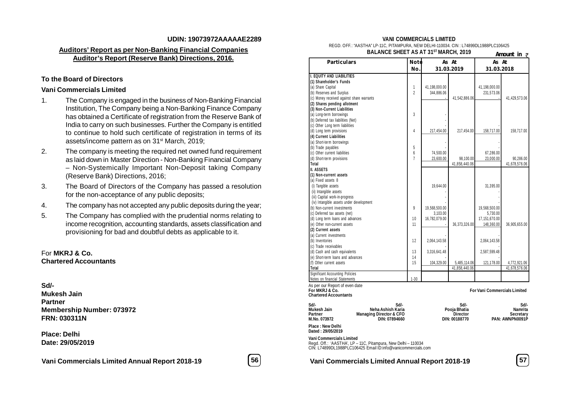#### **UDIN: 19073972AAAAAE2289**

# **Auditors' Report as per Non-Banking Financial Companies Auditor's Report (Reserve Bank) Directions, 2016.**

#### **To the Board of Directors**

#### **Vani Commercials Limited**

- 1. The Company is engaged in the business of Non-Banking Financial Institution, The Company being a Non-Banking Finance Company has obtained a Certificate of registration from the Reserve Bank of India to carry on such businesses. Further the Company is entitled to continue to hold such certificate of registration in terms of its assets/income pattern as on 31<sup>st</sup> March, 2019;
- 2. The company is meeting the required net owned fund requirement as laid down in Master Direction - Non-Banking Financial Company – Non-Systemically Important Non-Deposit taking Company (Reserve Bank) Directions, 2016;
- 3. The Board of Directors of the Company has passed a resolution for the non-acceptance of any public deposits;
- 4. The company has not accepted any public deposits during the year;
- 5. The Company has complied with the prudential norms relating to income recognition, accounting standards, assets classification and provisioning for bad and doubtful debts as applicable to it.

#### For **MKRJ & Co. Chartered Accountants**

#### **Sd/-**

**Mukesh Jain Partner Membership Number: 073972 FRN: 030311N**

**Place: Delhi Date: 29/05/2019**

**Vani Commercials Limited Annual Report 2018-19 56 Vani Commercials Limited Annual Report 2018-19 57**



#### **VANI COMMERCIALS LIMITED**

REGD. OFF.: "AASTHA" LP-11C, PITAMPURA, NEW DELHI-110034. CIN : L74899DL1988PLC106425 **BALANCE SHEET AS AT 31ST MARCH, 2019**

| UE JNEET MJ MT JT                                             |                |               | <b>IVIARUN, 2017</b> |                                     | Amount in ₹     |
|---------------------------------------------------------------|----------------|---------------|----------------------|-------------------------------------|-----------------|
| <b>Particulars</b>                                            | <b>Note</b>    |               | As At                | As At                               |                 |
|                                                               | No.            |               | 31.03.2019           | 31.03.2018                          |                 |
| <b>I. EQUITY AND LIABILITIES</b>                              |                |               |                      |                                     |                 |
| (1) Shareholder's Funds                                       |                |               |                      |                                     |                 |
| (a) Share Capital                                             | 1              | 41,198,000.00 |                      | 41,198,000.00                       |                 |
| (b) Reserves and Surplus                                      | $\overline{2}$ | 344,886.06    |                      | 231,573.06                          |                 |
| (c) Money received against share warrants                     |                |               | 41,542,886.06.       |                                     | 41,429,573.06   |
| (2) Shares pending allotment                                  |                |               |                      |                                     |                 |
| (3) Non-Current Liabilities                                   |                |               |                      |                                     |                 |
| (a) Long-term borrowings                                      | 3              |               |                      |                                     |                 |
| (b) Deferred tax liabilities (Net)                            |                |               |                      |                                     |                 |
| (c) Other Long term liabilities                               |                |               |                      |                                     |                 |
| (d) Long term provisions                                      | 4              | 217,454.00    | 217.454.00           | 158,717.00                          | 158,717.00      |
| (4) Current Liabilities                                       |                |               |                      |                                     |                 |
| (a) Short-term borrowings                                     |                |               |                      |                                     |                 |
| (b) Trade payables                                            | 5              |               |                      |                                     |                 |
| (c) Other current liabilities                                 | 6              | 74,500.00     |                      | 67,286.00                           |                 |
| (d) Short-term provisions                                     | $\overline{1}$ | 23,600.00     | 98,100.00            | 23,000.00                           | 90.286.00       |
| <b>Total</b>                                                  |                |               | 41,858,440.06        |                                     | 41,678,576.06   |
| II. ASSETS                                                    |                |               |                      |                                     |                 |
| (1) Non-current assets                                        |                |               |                      |                                     |                 |
| (a) Fixed assets 8                                            |                |               |                      |                                     |                 |
| (i) Tangible assets                                           |                | 19,644.00     |                      | 31,395.00                           |                 |
| (ii) Intangible assets                                        |                |               |                      |                                     |                 |
| (iii) Capital work-in-progress                                |                |               |                      |                                     |                 |
| (iv) Intangible assets under development                      |                |               |                      |                                     |                 |
| (b) Non-current investments                                   | 9              | 19,568,500.00 |                      | 19,568,500.00                       |                 |
| (c) Deferred tax assets (net)                                 |                | 3.103.00      |                      | 5.730.00                            |                 |
| (d) Long term loans and advances                              | 10             | 16,782,079.00 |                      | 17,151,670.00                       |                 |
| (e) Other non-current assets                                  | 11             |               | 36,373,326.00        | 148,360.00                          | 36,905,655.00   |
| (2) Current assets                                            |                |               |                      |                                     |                 |
| (a) Current investments                                       |                |               |                      |                                     |                 |
| (b) Inventories                                               | 12             | 2,064,143.58  |                      | 2,064,143.58                        |                 |
| (c) Trade receivables                                         |                |               |                      |                                     |                 |
| (d) Cash and cash equivalents                                 | 13             | 3,316,641.48  |                      | 2,587,599.48                        |                 |
| (e) Short-term loans and advances                             | 14             |               |                      |                                     |                 |
| (f) Other current assets                                      | 15             | 104,329.00    | 5,485,114.06         | 121,178.00                          | 4,772,921.06    |
| Total                                                         |                |               | 41,858,440.06        |                                     | 41,678,576.06   |
| <b>Significant Accounting Policies</b>                        |                |               |                      |                                     |                 |
| Notes on financial Statements                                 | $1 - 30$       |               |                      |                                     |                 |
| As per our Report of even date                                |                |               |                      |                                     |                 |
| For MKRJ & Co.                                                |                |               |                      | <b>For Vani Commercials Limited</b> |                 |
| <b>Chartered Accountants</b>                                  |                |               |                      |                                     |                 |
| Sd/-<br>Sd/-                                                  |                |               | Sd/-                 |                                     | Sd/-            |
| <b>Mukesh Jain</b><br>Neha Ashish Karia                       |                |               | Pooja Bhatia         |                                     | Namrita         |
| Partner<br><b>Managing Director &amp; CFO</b>                 |                |               | <b>Director</b>      |                                     | Secretary       |
| M.No. 073972<br>DIN: 07894660                                 |                |               | DIN: 00188770        |                                     | PAN: AWNPN0091P |
| Place : New Delhi<br>Dated: 29/05/2019                        |                |               |                      |                                     |                 |
| <b>Vani Commercials Limited</b>                               |                |               |                      |                                     |                 |
| Regd. Off.: 'AASTHA', LP - 11C, Pitampura, New Delhi - 110034 |                |               |                      |                                     |                 |
| CIN: L74899DL1988PLC106425 Email ID:info@vanicommercials.com  |                |               |                      |                                     |                 |
|                                                               |                |               |                      |                                     |                 |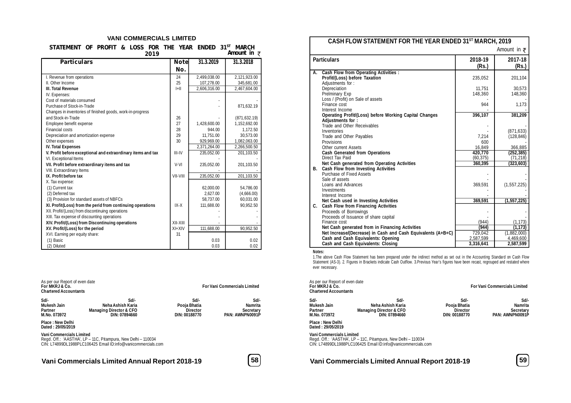#### **VANI COMMERCIALS LIMITED**

| STATEMENT OF PROFIT & LOSS FOR THE YEAR ENDED 31 <sup>ST</sup> MARCH |  |  |      |  |  |                     |  |
|----------------------------------------------------------------------|--|--|------|--|--|---------------------|--|
|                                                                      |  |  | 2019 |  |  | Amount in $\bar{z}$ |  |

| <b>Particulars</b>                                           | <b>Note</b> | 31.3.2019    | 31.3.2018     |
|--------------------------------------------------------------|-------------|--------------|---------------|
|                                                              | No.         |              |               |
| I. Revenue from operations                                   | 24          | 2,499,038.00 | 2,121,923.00  |
| II. Other Income                                             | 25          | 107.278.00   | 345,681.00    |
| <b>III. Total Revenue</b>                                    | H           | 2,606,316.00 | 2,467,604.00  |
| IV. Expenses:                                                |             |              |               |
| Cost of materials consumed                                   |             |              |               |
| Purchase of Stock-in-Trade                                   |             |              | 871,632.19    |
| Changes in inventories of finished goods, work-in-progress   |             |              |               |
| and Stock-in-Trade                                           | 26          |              | (871, 632.19) |
| Employee benefit expense                                     | 27          | 1,428,600.00 | 1,152,692.00  |
| Financial costs                                              | 28          | 944.00       | 1,172.50      |
| Depreciation and amortization expense                        | 29          | 11.751.00    | 30.573.00     |
| Other expenses                                               | 30          | 929,969.00   | 1,082,063.00  |
| <b>IV. Total Expenses</b>                                    |             | 2,371,264.00 | 2,266,500.50  |
| V. Profit before exceptional and extraordinary items and tax | III-IV      | 235,052.00   | 201,103.50    |
| VI. Exceptional Items                                        |             |              |               |
| VII. Profit before extraordinary items and tax               | V-VI        | 235,052.00   | 201,103.50    |
| VIII. Extraordinary Items                                    |             |              |               |
| IX. Profit before tax                                        | VII-VIII    | 235,052.00   | 201,103.50    |
| X. Tax expense:                                              |             |              |               |
| (1) Current tax                                              |             | 62,000.00    | 54,786.00     |
| (2) Deferred tax                                             |             | 2.627.00     | (4,666.00)    |
| (3) Provision for standard assets of NBFCs                   |             | 58,737.00    | 60,031.00     |
| XI. Profit(Loss) from the perid from continuing operations   | $IX - X$    | 111,688.00   | 90,952.50     |
| XII. Profit/(Loss) from discontinuing operations             |             |              |               |
| XIII. Tax expense of discounting operations                  |             |              |               |
| XIV. Profit/(Loss) from Discontinuing operations             | XII-XIII    |              |               |
| XV. Profit/(Loss) for the period                             | $XI+XIV$    | 111,688.00   | 90,952.50     |
| XVI. Earning per equity share:                               | 31          |              |               |
| (1) Basic                                                    |             | 0.03         | 0.02          |
| (2) Diluted                                                  |             | 0.03         | 0.02          |

| As per our Report of even date<br>For MKR J & Co.<br><b>Chartered Accountants</b> |                                                                                                                               |                                                          | <b>For Vani Commercials Limited</b>                           |
|-----------------------------------------------------------------------------------|-------------------------------------------------------------------------------------------------------------------------------|----------------------------------------------------------|---------------------------------------------------------------|
| Sd/-<br>Mukesh Jain<br>Partner<br>M.No. 073972                                    | Sd/-<br>Neha Ashish Karia<br><b>Managing Director &amp; CFO</b><br>DIN: 07894660                                              | Sd/-<br>Pooja Bhatia<br><b>Director</b><br>DIN: 00188770 | Sd/-<br>Namrita<br><b>Secretary</b><br><b>PAN: AWNPN0091P</b> |
| <b>Place: New Delhi</b><br>Dated: 29/05/2019                                      |                                                                                                                               |                                                          |                                                               |
| <b>Vani Commercials Limited</b>                                                   | Regd. Off.: 'AASTHA', LP – 11C, Pitampura, New Delhi – 110034<br>CIN: L74899DL1988PLC106425 Email ID:info@vanicommercials.com |                                                          |                                                               |

**Vani Commercials Limited Annual Report 2018-19 58 Vani Commercials Limited Annual Report 2018-19 59**

| ۰,<br>۰, |  |
|----------|--|
|          |  |

|    |                                                               |                  | Amount in $\bar{z}$ |
|----|---------------------------------------------------------------|------------------|---------------------|
|    | <b>Particulars</b>                                            | 2018-19<br>(Rs.) | 2017-18<br>(Rs.)    |
| А. | <b>Cash Flow from Operating Activities:</b>                   |                  |                     |
|    | Profit/(Loss) before Taxation                                 | 235,052          | 201,104             |
|    | Adjustments for:<br>Depreciation                              | 11,751           | 30,573              |
|    | Prelminary Exp                                                | 148,360          | 148,360             |
|    | Loss / (Profit) on Sale of assets                             |                  |                     |
|    | Finance cost                                                  | 944              | 1,173               |
|    | Interest Income                                               |                  |                     |
|    | <b>Operating Profit/(Loss) before Working Capital Changes</b> | 396,107          | 381,209             |
|    | Adjustments for:                                              |                  |                     |
|    | Trade and Other Receivables                                   |                  |                     |
|    | Inventories                                                   |                  | (871, 633)          |
|    | Trade and Other Payables                                      | 7.214            | (128, 846)          |
|    | Provisions                                                    | 600              |                     |
|    | Other current Assets                                          | 16,849           | 366,885             |
|    | <b>Cash Generated from Operations</b>                         | 420,770          | (252, 385)          |
|    | <b>Direct Tax Paid</b>                                        | (60, 375)        | (71, 218)           |
|    | Net Cash generated from Operating Activities                  | 360,395          | (323, 603)          |
| В. | <b>Cash Flow from Investing Activities</b>                    |                  |                     |
|    | Purchase of Fixed Assets<br>Sale of assets                    |                  |                     |
|    | Loans and Advances                                            | 369,591          | (1, 557, 225)       |
|    | Investments                                                   |                  |                     |
|    | Interest Income                                               |                  |                     |
|    | Net Cash used in Investing Activities                         | 369,591          | (1, 557, 225)       |
| C. | <b>Cash Flow from Financing Activities</b>                    |                  |                     |
|    | Proceeds of Borrowings                                        |                  |                     |
|    | Proceeds of Issuance of share capital                         |                  |                     |
|    | Finance cost                                                  | (944)            | (1, 173)            |
|    | Net Cash generated from in Financing Activities               | (944)            | (1, 173)            |
|    | Net Increase/(Decrease) in Cash and Cash Equivalents (A+B+C)  | 729,042          | (1,882,000)         |
|    | Cash and Cash Equivalents: Opening                            | 2,587,599        | 4,469,600           |
|    | <b>Cash and Cash Equivalents: Closing</b>                     | 3,316,641        | 2,587,599           |

#### **Notes:**

1.The above Cash Flow Statement has been prepared under the indirect method as set out in the Accounting Standard on Cash Flow<br>Statement (AS-3). 2. Figures in Brackets indicate Cash Outflow. 3.Previous Year's figures have ever necessary.

| As per our Report of even date<br>For MKRJ & Co.<br>Chartered Accountants |                                                                                                                               |                                                   | <b>For Vani Commercials Limited</b>                    |
|---------------------------------------------------------------------------|-------------------------------------------------------------------------------------------------------------------------------|---------------------------------------------------|--------------------------------------------------------|
| Sd/-<br>Mukesh Jain<br>Partner<br>M.No. 073972                            | Sd/-<br>Neha Ashish Karia<br><b>Managing Director &amp; CFO</b><br>DIN: 07894660                                              | Sd/-<br>Pooja Bhatia<br>Director<br>DIN: 00188770 | Sd/-<br>Namrita<br>Secretary<br><b>PAN: AWNPN0091P</b> |
| Place : New Delhi<br>Dated : 29/05/2019                                   |                                                                                                                               |                                                   |                                                        |
| Vani Commercials Limited                                                  | Regd. Off.: 'AASTHA', LP – 11C, Pitampura, New Delhi – 110034<br>CIN: L74899DL1988PLC106425 Email ID:info@vanicommercials.com |                                                   |                                                        |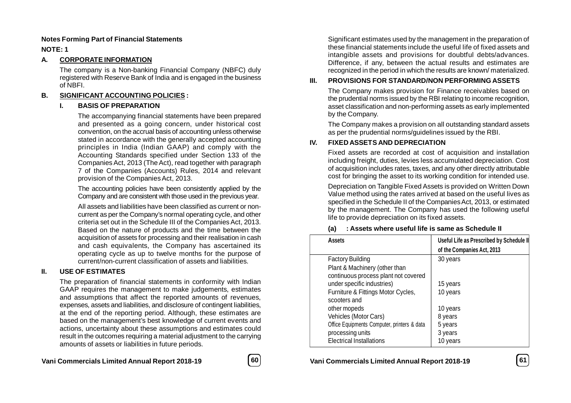#### **Notes Forming Part of Financial Statements**

# **NOTE: 1**

#### **A. CORPORATE INFORMATION**

The company is a Non-banking Financial Company (NBFC) duly registered with Reserve Bank of India and is engaged in the business of NBFI.

# **B. SIGNIFICANT ACCOUNTING POLICIES :**

#### **I. BASIS OF PREPARATION**

The accompanying financial statements have been prepared and presented as a going concern, under historical cost convention, on the accrual basis of accounting unless otherwise stated in accordance with the generally accepted accounting principles in India (Indian GAAP) and comply with the Accounting Standards specified under Section 133 of the Companies Act, 2013 (The Act), read together with paragraph 7 of the Companies (Accounts) Rules, 2014 and relevant provision of the Companies Act, 2013.

The accounting policies have been consistently applied by the Company and are consistent with those used in the previous year.

All assets and liabilities have been classified as current or noncurrent as per the Company's normal operating cycle, and other criteria set out in the Schedule III of the Companies Act, 2013. Based on the nature of products and the time between the acquisition of assets for processing and their realisation in cash and cash equivalents, the Company has ascertained its operating cycle as up to twelve months for the purpose of current/non-current classification of assets and liabilities.

# **II. USE OF ESTIMATES**

The preparation of financial statements in conformity with Indian GAAP requires the management to make judgements, estimates and assumptions that affect the reported amounts of revenues, expenses, assets and liabilities, and disclosure of contingent liabilities, at the end of the reporting period. Although, these estimates are based on the management's best knowledge of current events and actions, uncertainty about these assumptions and estimates could result in the outcomes requiring a material adjustment to the carrying amounts of assets or liabilities in future periods.

**Vani Commercials Limited Annual Report 2018-19 60 Vani Commercials Limited Annual Report 2018-19 61**

| I<br>×<br>×<br>۰.<br>۰. |  |
|-------------------------|--|
|                         |  |

Significant estimates used by the management in the preparation of these financial statements include the useful life of fixed assets and intangible assets and provisions for doubtful debts/advances. Difference, if any, between the actual results and estimates are recognized in the period in which the results are known/ materialized.

# **III. PROVISIONS FOR STANDARD/NON PERFORMING ASSETS**

The Company makes provision for Finance receivables based on the prudential norms issued by the RBI relating to income recognition, asset classification and non-performing assets as early implemented by the Company.

The Company makes a provision on all outstanding standard assets as per the prudential norms/guidelines issued by the RBI.

# **IV. FIXED ASSETS AND DEPRECIATION**

Fixed assets are recorded at cost of acquisition and installation including freight, duties, levies less accumulated depreciation. Cost of acquisition includes rates, taxes, and any other directly attributable cost for bringing the asset to its working condition for intended use.

Depreciation on Tangible Fixed Assets is provided on Written Down Value method using the rates arrived at based on the useful lives as specified in the Schedule II of the Companies Act, 2013, or estimated by the management. The Company has used the following useful life to provide depreciation on its fixed assets.

# **(a) : Assets where useful life is same as Schedule II**

| <b>Assets</b>                               | Useful Life as Prescribed by Schedule II |
|---------------------------------------------|------------------------------------------|
|                                             | of the Companies Act, 2013               |
| <b>Factory Building</b>                     | 30 years                                 |
| Plant & Machinery (other than               |                                          |
| continuous process plant not covered        |                                          |
| under specific industries)                  | 15 years                                 |
| Furniture & Fittings Motor Cycles,          | 10 years                                 |
| scooters and                                |                                          |
| other mopeds                                | 10 years                                 |
| Vehicles (Motor Cars)                       | 8 years                                  |
| Office Equipments Computer, printers & data | 5 years                                  |
| processing units                            | 3 years                                  |
| <b>Electrical Installations</b>             | 10 vears                                 |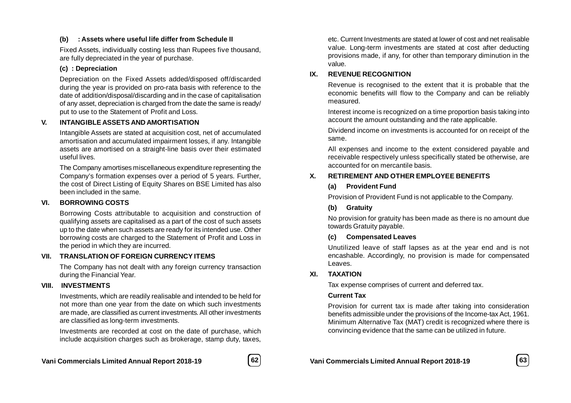# **(b) : Assets where useful life differ from Schedule II**

Fixed Assets, individually costing less than Rupees five thousand, are fully depreciated in the year of purchase.

# **(c) : Depreciation**

Depreciation on the Fixed Assets added/disposed off/discarded during the year is provided on pro-rata basis with reference to the date of addition/disposal/discarding and in the case of capitalisation of any asset, depreciation is charged from the date the same is ready/ put to use to the Statement of Profit and Loss.

# **V. INTANGIBLE ASSETS AND AMORTISATION**

Intangible Assets are stated at acquisition cost, net of accumulated amortisation and accumulated impairment losses, if any. Intangible assets are amortised on a straight-line basis over their estimated useful lives.

The Company amortises miscellaneous expenditure representing the Company's formation expenses over a period of 5 years. Further, the cost of Direct Listing of Equity Shares on BSE Limited has also been included in the same.

# **VI. BORROWING COSTS**

Borrowing Costs attributable to acquisition and construction of qualifying assets are capitalised as a part of the cost of such assets up to the date when such assets are ready for its intended use. Other borrowing costs are charged to the Statement of Profit and Loss in the period in which they are incurred.

# **VII. TRANSLATION OF FOREIGN CURRENCY ITEMS**

The Company has not dealt with any foreign currency transaction during the Financial Year.

# **VIII. INVESTMENTS**

Investments, which are readily realisable and intended to be held for not more than one year from the date on which such investments are made, are classified as current investments. All other investments are classified as long-term investments.

Investments are recorded at cost on the date of purchase, which include acquisition charges such as brokerage, stamp duty, taxes,



Tax expense comprises of current and deferred tax.

# **Current Tax**

Provision for current tax is made after taking into consideration benefits admissible under the provisions of the Income-tax Act, 1961. Minimum Alternative Tax (MAT) credit is recognized where there is convincing evidence that the same can be utilized in future.

etc. Current Investments are stated at lower of cost and net realisable value. Long-term investments are stated at cost after deducting provisions made, if any, for other than temporary diminution in the value.

# **IX. REVENUE RECOGNITION**

Revenue is recognised to the extent that it is probable that the economic benefits will flow to the Company and can be reliably measured.

Interest income is recognized on a time proportion basis taking into account the amount outstanding and the rate applicable.

Dividend income on investments is accounted for on receipt of the same.

All expenses and income to the extent considered payable and receivable respectively unless specifically stated be otherwise, are accounted for on mercantile basis.

# **X. RETIREMENT AND OTHER EMPLOYEE BENEFITS**

# **(a) Provident Fund**

Provision of Provident Fund is not applicable to the Company.

# **(b) Gratuity**

No provision for gratuity has been made as there is no amount due towards Gratuity payable.

# **(c) Compensated Leaves**

Unutilized leave of staff lapses as at the year end and is not encashable. Accordingly, no provision is made for compensated Leaves.

# **XI. TAXATION**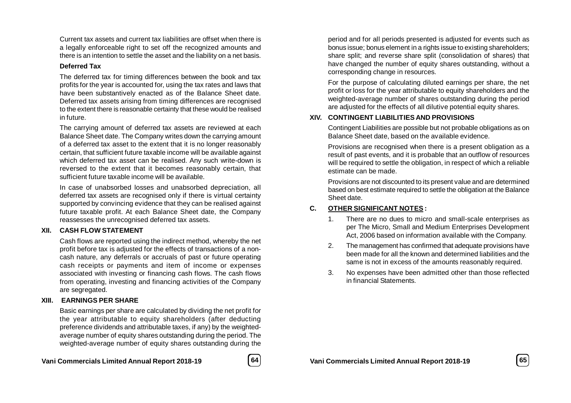Current tax assets and current tax liabilities are offset when there is a legally enforceable right to set off the recognized amounts and there is an intention to settle the asset and the liability on a net basis.

#### **Deferred Tax**

The deferred tax for timing differences between the book and tax profits for the year is accounted for, using the tax rates and laws that have been substantively enacted as of the Balance Sheet date. Deferred tax assets arising from timing differences are recognised to the extent there is reasonable certainty that these would be realised in future.

The carrying amount of deferred tax assets are reviewed at each Balance Sheet date. The Company writes down the carrying amount of a deferred tax asset to the extent that it is no longer reasonably certain, that sufficient future taxable income will be available against which deferred tax asset can be realised. Any such write-down is reversed to the extent that it becomes reasonably certain, that sufficient future taxable income will be available.

In case of unabsorbed losses and unabsorbed depreciation, all deferred tax assets are recognised only if there is virtual certainty supported by convincing evidence that they can be realised against future taxable profit. At each Balance Sheet date, the Company reassesses the unrecognised deferred tax assets.

# **XII. CASH FLOW STATEMENT**

Cash flows are reported using the indirect method, whereby the net profit before tax is adjusted for the effects of transactions of a noncash nature, any deferrals or accruals of past or future operating cash receipts or payments and item of income or expenses associated with investing or financing cash flows. The cash flows from operating, investing and financing activities of the Company are segregated.

# **XIII. EARNINGS PER SHARE**

Basic earnings per share are calculated by dividing the net profit for the year attributable to equity shareholders (after deducting preference dividends and attributable taxes, if any) by the weightedaverage number of equity shares outstanding during the period. The weighted-average number of equity shares outstanding during the

**Vani Commercials Limited Annual Report 2018-19 64 Vani Commercials Limited Annual Report 2018-19 65**

period and for all periods presented is adjusted for events such as bonus issue; bonus element in a rights issue to existing shareholders; share split; and reverse share split (consolidation of shares) that have changed the number of equity shares outstanding, without a corresponding change in resources.

For the purpose of calculating diluted earnings per share, the net profit or loss for the year attributable to equity shareholders and the weighted-average number of shares outstanding during the period are adjusted for the effects of all dilutive potential equity shares.

# **XIV. CONTINGENT LIABILITIES AND PROVISIONS**

Contingent Liabilities are possible but not probable obligations as on Balance Sheet date, based on the available evidence.

Provisions are recognised when there is a present obligation as a result of past events, and it is probable that an outflow of resources will be required to settle the obligation, in respect of which a reliable estimate can be made.

Provisions are not discounted to its present value and are determined based on best estimate required to settle the obligation at the Balance Sheet date.

# **C. OTHER SIGNIFICANT NOTES :**

- 1. There are no dues to micro and small-scale enterprises as per The Micro, Small and Medium Enterprises Development Act, 2006 based on information available with the Company.
- 2. The management has confirmed that adequate provisions have been made for all the known and determined liabilities and the same is not in excess of the amounts reasonably required.
- 3. No expenses have been admitted other than those reflected in financial Statements.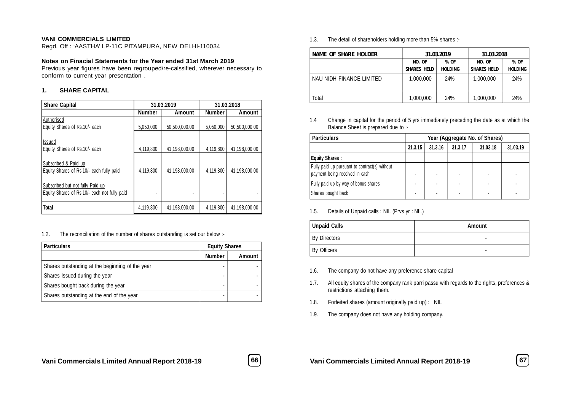#### **VANI COMMERCIALS LIMITED**

Regd. Off : 'AASTHA' LP-11C PITAMPURA, NEW DELHI-110034

#### **Notes on Finacial Statements for the Year ended 31st March 2019**

Previous year figures have been regrouped/re-calssified, wherever necessary to conform to current year presentation .

#### **1. SHARE CAPITAL**

| <b>Share Capital</b>                                                             |               | 31.03.2019    | 31.03.2018    |               |  |
|----------------------------------------------------------------------------------|---------------|---------------|---------------|---------------|--|
|                                                                                  | <b>Number</b> | Amount        | <b>Number</b> | Amount        |  |
| Authorised<br>Equity Shares of Rs.10/- each                                      | 5,050,000     | 50,500,000.00 | 5,050,000     | 50,500,000.00 |  |
| <b>Issued</b><br>Equity Shares of Rs.10/- each                                   | 4,119,800     | 41.198.000.00 | 4,119,800     | 41.198.000.00 |  |
| Subscribed & Paid up<br>Equity Shares of Rs.10/- each fully paid                 | 4,119,800     | 41.198.000.00 | 4,119,800     | 41.198.000.00 |  |
| Subscribed but not fully Paid up<br>Equity Shares of Rs.10/- each not fully paid |               | ٠             |               |               |  |
| <b>Total</b>                                                                     | 4,119,800     | 41.198.000.00 | 4.119.800     | 41.198.000.00 |  |

1.2. The reconciliation of the number of shares outstanding is set our below :-

| <b>Particulars</b>                              | <b>Equity Shares</b> |               |
|-------------------------------------------------|----------------------|---------------|
|                                                 | <b>Number</b>        | <b>Amount</b> |
| Shares outstanding at the beginning of the year |                      |               |
| Shares Issued during the year                   |                      |               |
| Shares bought back during the year              |                      |               |
| Shares outstanding at the end of the year       |                      |               |

1.3. The detail of shareholders holding more than 5% shares :-

| <b>NAME OF SHARE HOLDER</b> |                    | 31.03.2019     | 31.03.2018         |                |  |
|-----------------------------|--------------------|----------------|--------------------|----------------|--|
|                             | NO. OF             | % OF           | NO. OF             | % OF           |  |
|                             | <b>SHARIS HELD</b> | <b>HOLDING</b> | <b>SHARIS HELD</b> | <b>HOLDING</b> |  |
| NAU NIDH FINANCE LIMITED    | 1.000.000          | 24%            | 1.000.000          | 24%            |  |
| Total                       | 1,000,000          | 24%            | 1,000,000          | 24%            |  |

1.4 Change in capital for the period of 5 yrs immediately preceding the date as at which the Balance Sheet is prepared due to :-

| <b>Particulars</b>                                                              |         |         |         | Year (Aggregate No. of Shares) |          |
|---------------------------------------------------------------------------------|---------|---------|---------|--------------------------------|----------|
|                                                                                 | 31.3.15 | 31.3.16 | 31.3.17 | 31.03.18                       | 31.03.19 |
| <b>Equity Shares:</b>                                                           |         |         |         |                                |          |
| Fully paid up pursuant to contract(s) without<br>payment being received in cash |         |         |         |                                |          |
| Fully paid up by way of bonus shares                                            |         |         |         |                                |          |
| Shares bought back                                                              |         | ۰       |         |                                |          |

#### 1.5. Details of Unpaid calls : NIL (Prvs yr : NIL)

| Unpaid Calls        | Amount |
|---------------------|--------|
| <b>By Directors</b> |        |
| By Officers         |        |

- 1.6. The company do not have any preference share capital
- 1.7. All equity shares of the company rank parri passu with regards to the rights, preferences & restrictions attaching them.
- 1.8. Forfeited shares (amount originally paid up) : NIL
- 1.9. The company does not have any holding company.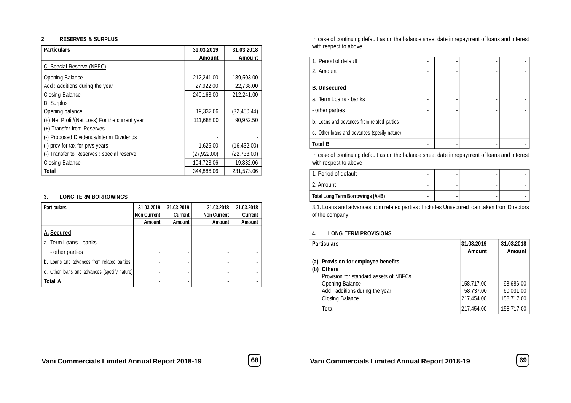#### **2. RESERVES & SURPLUS**

| <b>Particulars</b>                             | 31.03.2019   | 31.03.2018   |
|------------------------------------------------|--------------|--------------|
|                                                | Amount       | Amount       |
| C. Special Reserve (NBFC)                      |              |              |
| Opening Balance                                | 212,241.00   | 189,503.00   |
| Add: additions during the year                 | 27,922.00    | 22.738.00    |
| Closing Balance                                | 240,163.00   | 212,241.00   |
| D. Surplus                                     |              |              |
| Opening balance                                | 19,332.06    | (32, 450.44) |
| (+) Net Profit/(Net Loss) For the current year | 111,688.00   | 90.952.50    |
| (+) Transfer from Reserves                     |              |              |
| (-) Proposed Dividends/Interim Dividends       |              |              |
| (-) prov for tax for prvs years                | 1,625.00     | (16, 432.00) |
| (-) Transfer to Reserves : special reserve     | (27, 922.00) | (22, 738.00) |
| Closing Balance                                | 104,723.06   | 19,332.06    |
| Total                                          | 344.886.06   | 231.573.06   |

#### **3. LONG TERM BORROWINGS**

| <b>Particulars</b>                           | 31.03.2019         | 31.03.2019    | 31.03.2018         | 31.03.2018    |
|----------------------------------------------|--------------------|---------------|--------------------|---------------|
|                                              | <b>Non Current</b> | Current       | <b>Non Current</b> | Current       |
|                                              | Amount             | <b>Amount</b> | <b>Amount</b>      | <b>Amount</b> |
| A. Secured                                   |                    |               |                    |               |
| a. Term Loans - banks                        |                    |               |                    |               |
| - other parties                              |                    |               |                    |               |
| b. Loans and advances from related parties   |                    |               |                    |               |
| c. Other loans and advances (specify nature) |                    |               |                    |               |
| <b>Total A</b>                               | -                  |               |                    |               |

In case of continuing default as on the balance sheet date in repayment of loans and interest with respect to above

| Total B                                      |  |  |
|----------------------------------------------|--|--|
| c. Other loans and advances (specify nature) |  |  |
| b. Loans and advances from related parties   |  |  |
| - other parties                              |  |  |
| a. Term Loans - banks                        |  |  |
| <b>B. Unsecured</b>                          |  |  |
|                                              |  |  |
| 2. Amount                                    |  |  |
| 1. Period of default                         |  |  |

In case of continuing default as on the balance sheet date in repayment of loans and interest with respect to above

| l 1. Period of default           | ۰ | ۰ |  |
|----------------------------------|---|---|--|
| ∣ 2. Amount                      | ۰ | - |  |
| Total Long Term Borrowings (A+B) | ۰ | ۰ |  |

3.1. Loans and advances from related parties : Includes Unsecured loan taken from Directors of the company

#### **4. LONG TERM PROVISIONS**

|     | <b>Particulars</b>                                                                                                                                                     | 31.03.2019<br><b>Amount</b>           | 31.03.2018<br><b>Amount</b>          |
|-----|------------------------------------------------------------------------------------------------------------------------------------------------------------------------|---------------------------------------|--------------------------------------|
| (b) | (a) Provision for employee benefits<br><b>Others</b><br>Provision for standard assets of NBFCs<br>Opening Balance<br>Add: additions during the year<br>Closing Balance | 158,717.00<br>58,737.00<br>217,454.00 | 98,686.00<br>60,031.00<br>158,717.00 |
|     | Total                                                                                                                                                                  | 217,454.00                            | 158,717.00                           |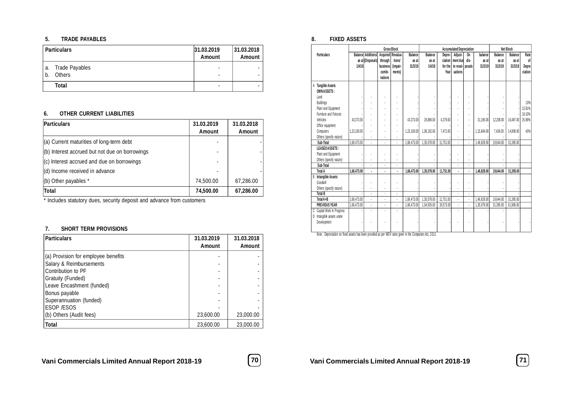#### **5. TRADE PAYABLES**

|          | <b>Particulars</b>              | 31.03.2019<br><b>Amount</b> | 31.03.2018<br><b>Amount</b> |
|----------|---------------------------------|-----------------------------|-----------------------------|
| а.<br>b. | Trade Payables<br><b>Others</b> |                             |                             |
|          | Total                           |                             |                             |

#### **6. OTHER CURRENT LIABILITIES**

| <b>Particulars</b>                             | 31.03.2019<br>Amount | 31.03.2018<br><b>Amount</b> |
|------------------------------------------------|----------------------|-----------------------------|
| $(a)$ Current maturities of long-term debt     |                      |                             |
| (b) Interest accrued but not due on borrowings |                      |                             |
| $ $ (c) Interest accrued and due on borrowings |                      |                             |
| (d) Income received in advance                 |                      |                             |
| $($ b) Other payables $*$                      | 74,500.00            | 67,286.00                   |
| Total                                          | 74,500.00            | 67,286.00                   |

\* Includes statutory dues, security deposit and advance from customers

#### **7. SHORT TERM PROVISIONS**

| <b>Particulars</b>                  | 31.03.2019<br><b>Amount</b> | 31.03.2018<br>Amount |
|-------------------------------------|-----------------------------|----------------------|
| (a) Provision for employee benefits |                             |                      |
| Salary & Reimbursements             |                             |                      |
| Contribution to PF                  |                             |                      |
| Gratuity (Funded)                   |                             |                      |
| Leave Encashment (funded)           |                             |                      |
| Bonus payable                       |                             |                      |
| Superannuation (funded)             |                             |                      |
| <b>ESOP /ESOS</b>                   |                             |                      |
| (b) Others (Audit fees)             | 23,600.00                   | 23,000.00            |
| Total                               | 23,600.00                   | 23,000.00            |

#### **8. FIXED ASSETS**

|                                                               |             |                                                  |                                                                      | <b>Gross Block</b>           |                                    |                            | <b>Accumulated Depreciation</b> |                                                     |                      |                             |                             | <b>Net Block</b>            |                                |
|---------------------------------------------------------------|-------------|--------------------------------------------------|----------------------------------------------------------------------|------------------------------|------------------------------------|----------------------------|---------------------------------|-----------------------------------------------------|----------------------|-----------------------------|-----------------------------|-----------------------------|--------------------------------|
| <b>Particulars</b>                                            | 1/4/18      | <b>Balancel Additions/I</b><br>as at (Disposals) | Acquired Revalua-<br>through<br><b>business</b><br>combi-<br>nations | tions/<br>(impair-<br>ments) | <b>Balance</b><br>as at<br>31/3/19 | Balance<br>as at<br>1/4/18 | Depre-<br>for the<br>Year       | Adjust-<br>ciation ment due<br>to reval-<br>uations | 0n<br>dis-<br>posals | balance<br>as at<br>31/3/19 | Balance<br>as at<br>31/3/19 | Balance<br>as at<br>31/3/18 | Rate<br>of<br>Depre<br>ciation |
| A Tangible Assets<br><b>OWNASSETS:</b>                        |             |                                                  |                                                                      |                              |                                    |                            |                                 |                                                     |                      |                             |                             |                             |                                |
| Land                                                          |             |                                                  |                                                                      |                              |                                    |                            |                                 |                                                     |                      |                             |                             |                             |                                |
| <b>Buildings</b>                                              |             |                                                  |                                                                      |                              |                                    |                            |                                 |                                                     |                      |                             |                             |                             | 10%                            |
| Plant and Equipment                                           |             |                                                  | $\overline{a}$                                                       |                              |                                    |                            |                                 |                                                     | $\ddot{\phantom{0}}$ |                             |                             |                             | 13.91%                         |
| Furniture and Fixtures                                        |             |                                                  |                                                                      |                              |                                    |                            |                                 |                                                     |                      |                             |                             |                             | 18.10%                         |
| Vehicles                                                      | 43.373.00   |                                                  |                                                                      |                              | 43.373.00                          | 26.886.00                  | 4.279.00                        |                                                     | l,                   | 31.165.00                   | 12.208.00                   | 16.487.00                   | 25.89%                         |
| Office equipment                                              |             |                                                  |                                                                      |                              |                                    |                            |                                 |                                                     |                      |                             |                             |                             |                                |
| Computers                                                     | 1,23,100.00 | $\overline{a}$                                   |                                                                      | $\overline{a}$               | 1,23,100.00                        | 1,08,192.00                | 7.472.00                        | $\overline{a}$                                      | ÷,                   | 1.15.664.00                 | 7.436.00                    | 14.908.00                   | 40%                            |
| Others (specify nature)                                       |             |                                                  |                                                                      |                              |                                    |                            |                                 |                                                     |                      |                             |                             |                             |                                |
| Sub-Total                                                     | 1.66.473.00 |                                                  | $\overline{a}$                                                       | $\blacksquare$               | 1.66.473.00                        | 1.35.078.00                | 11,751.00                       | $\overline{a}$                                      | $\overline{a}$       | 1.46.829.00                 | 19.644.00                   | 31.395.00                   |                                |
| LEASEDASSETS:                                                 |             |                                                  |                                                                      |                              |                                    |                            |                                 |                                                     |                      |                             |                             |                             |                                |
| Plant and Equipment                                           |             |                                                  |                                                                      |                              |                                    |                            |                                 |                                                     |                      |                             |                             |                             |                                |
| Others (specify nature)                                       |             |                                                  |                                                                      |                              |                                    |                            |                                 |                                                     |                      |                             |                             |                             |                                |
| Sub-Total                                                     |             |                                                  | $\overline{a}$                                                       | $\overline{a}$               |                                    |                            |                                 | $\overline{a}$                                      |                      |                             |                             |                             |                                |
| <b>Total A</b>                                                | 1.66.473.00 |                                                  | ï                                                                    | $\cdot$                      | 1,66,473.00                        | 1.35.078.00                | 11.751.00                       |                                                     |                      | 1.46.829.00                 | 19,644.00                   | 31,395.00                   |                                |
| <b>B</b> Intangible Assets                                    |             |                                                  |                                                                      |                              |                                    |                            |                                 |                                                     |                      |                             |                             |                             |                                |
| Goodwill                                                      |             |                                                  |                                                                      |                              |                                    |                            |                                 |                                                     |                      |                             |                             |                             |                                |
| Others (specify nature)                                       |             |                                                  |                                                                      |                              |                                    |                            |                                 |                                                     |                      |                             |                             |                             |                                |
| <b>Total B</b>                                                |             |                                                  |                                                                      |                              |                                    |                            |                                 |                                                     |                      |                             |                             |                             |                                |
| Total A+B                                                     | 1,66,473.00 | $\overline{a}$                                   | $\overline{a}$                                                       | $\overline{a}$               | 1,66,473.00                        | 1,35,078.00                | 11,751.00                       | $\overline{a}$                                      | $\overline{a}$       | 1.46.829.00                 | 19.644.00                   | 31.395.00                   |                                |
| <b>PREVIOUS YEAR</b>                                          | 1,66,473.00 |                                                  |                                                                      |                              | 1.66.473.00                        | 1.04.505.00                | 30,573.00                       |                                                     |                      | 1.35.078.00                 | 31.395.00                   | 61.968.00                   |                                |
| Capital Work In Progress<br>C<br>Intangible assets under<br>D |             | Ĭ.                                               | $\overline{a}$                                                       | $\overline{a}$               |                                    |                            |                                 | Ĭ.                                                  |                      |                             |                             |                             |                                |
| Development                                                   |             |                                                  |                                                                      |                              |                                    |                            |                                 |                                                     |                      |                             |                             |                             |                                |

Note : Depreciation on fixed assets has been provided as per WDV rates given in the Companies Act, 2 013.

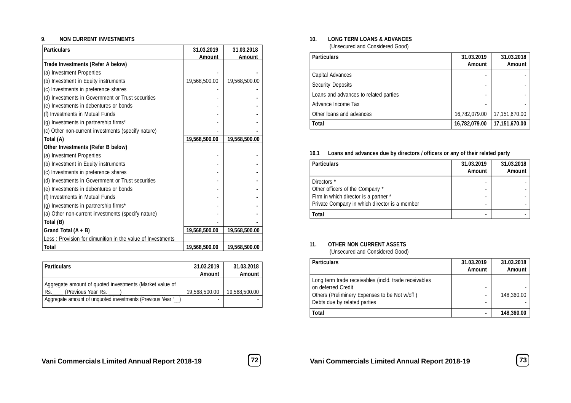#### **9. NON CURRENT INVESTMENTS**

| <b>Particulars</b>                                          | 31.03.2019    | 31.03.2018    |
|-------------------------------------------------------------|---------------|---------------|
| Trade Investments (Refer A below)                           | Amount        | <b>Amount</b> |
|                                                             |               |               |
| (a) Investment Properties                                   |               |               |
| (b) Investment in Equity instruments                        | 19,568,500.00 | 19,568,500.00 |
| (c) Investments in preference shares                        |               |               |
| (d) Investments in Government or Trust securities           |               |               |
| (e) Investments in debentures or bonds                      |               |               |
| (f) Investments in Mutual Funds                             |               |               |
| (g) Investments in partnership firms*                       |               |               |
| (c) Other non-current investments (specify nature)          |               |               |
| Total (A)                                                   | 19,568,500.00 | 19,568,500.00 |
| Other Investments (Refer B below)                           |               |               |
| (a) Investment Properties                                   |               |               |
| (b) Investment in Equity instruments                        |               |               |
| (c) Investments in preference shares                        |               |               |
| (d) Investments in Government or Trust securities           |               |               |
| (e) Investments in debentures or bonds                      |               |               |
| (f) Investments in Mutual Funds                             |               |               |
| (g) Investments in partnership firms*                       |               |               |
| (a) Other non-current investments (specify nature)          |               |               |
| Total (B)                                                   |               |               |
| Grand Total $(A + B)$                                       | 19,568,500.00 | 19,568,500.00 |
| Less : Provision for dimunition in the value of Investments |               |               |
| Total                                                       | 19,568,500.00 | 19,568,500.00 |

| <b>Particulars</b>                                                                         | 31.03.2019<br><b>Amount</b> | 31.03.2018<br><b>Amount</b> |
|--------------------------------------------------------------------------------------------|-----------------------------|-----------------------------|
| Aggregate amount of quoted investments (Market value of<br>(Previous Year Rs. ____)<br>Rs. | 19.568.500.00               | 19.568.500.00               |
| Aggregate amount of unquoted investments (Previous Year ')                                 |                             |                             |

#### **10. LONG TERM LOANS & ADVANCES**

(Unsecured and Considered Good)

| <b>Particulars</b>                    | 31.03.2019<br><b>Amount</b> | 31.03.2018<br><b>Amount</b> |
|---------------------------------------|-----------------------------|-----------------------------|
| Capital Advances                      |                             |                             |
| <b>Security Deposits</b>              |                             |                             |
| Loans and advances to related parties |                             |                             |
| Advance Income Tax                    |                             |                             |
| Other loans and advances              | 16,782,079.00               | 17,151,670.00               |
| Total                                 | 16,782,079.00               | 17,151,670.00               |

#### **10.1 Loans and advances due by directors / officers or any of their related party**

| <b>Particulars</b>                            | 31.03.2019<br><b>Amount</b> | 31.03.2018<br>Amount |
|-----------------------------------------------|-----------------------------|----------------------|
| Directors *                                   |                             |                      |
| Other officers of the Company *               |                             |                      |
| Firm in which director is a partner *         |                             |                      |
| Private Company in which director is a member |                             |                      |
| <b>Total</b>                                  |                             |                      |

#### **11. OTHER NON CURRENT ASSETS**

(Unsecured and Considered Good)

| <b>Particulars</b>                                                                                                                                           | 31.03.2019<br>Amount | 31.03.2018<br>Amount |
|--------------------------------------------------------------------------------------------------------------------------------------------------------------|----------------------|----------------------|
| Long term trade receivables (incld. trade receivables<br>on deferred Credit<br>Others (Preliminery Expenses to be Not w/off)<br>Debts due by related parties | ۰                    | 148,360.00           |
| <b>Total</b>                                                                                                                                                 |                      | 148,360.00           |

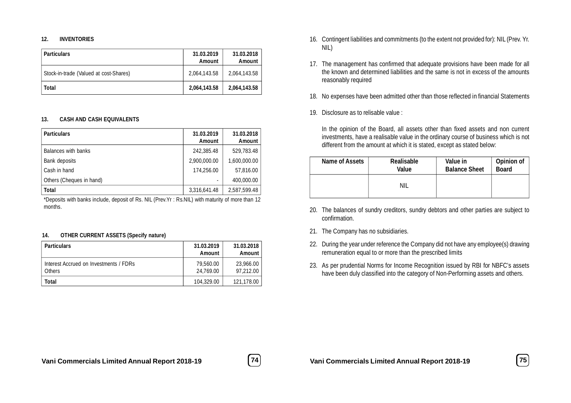#### **12. INVENTORIES**

| <b>Particulars</b>                     | 31.03.2019<br>Amount | 31.03.2018<br>Amount |
|----------------------------------------|----------------------|----------------------|
| Stock-in-trade (Valued at cost-Shares) | 2.064.143.58         | 2.064.143.58         |
| Total                                  | 2,064,143.58         | 2,064,143.58         |

#### **13. CASH AND CASH EQUIVALENTS**

| <b>Particulars</b>       | 31.03.2019<br><b>Amount</b> | 31.03.2018<br><b>Amount</b> |
|--------------------------|-----------------------------|-----------------------------|
| Balances with banks      | 242,385.48                  | 529,783.48                  |
| Bank deposits            | 2,900,000.00                | 1,600,000.00                |
| Cash in hand             | 174.256.00                  | 57,816.00                   |
| Others (Cheques in hand) |                             | 400.000.00                  |
| <b>Total</b>             | 3,316,641.48                | 2,587,599.48                |

\*Deposits with banks include, deposit of Rs. NIL (Prev.Yr : Rs.NIL) with maturity of more than 12 months.

#### **14. OTHER CURRENT ASSETS (Specify nature)**

| <b>Particulars</b>                               | 31.03.2019<br>Amount   | 31.03.2018<br><b>Amount</b> |
|--------------------------------------------------|------------------------|-----------------------------|
| Interest Accrued on Investments / FDRs<br>Others | 79,560.00<br>24.769.00 | 23,966.00<br>97.212.00      |
| Total                                            | 104.329.00             | 121,178.00                  |

- 16. Contingent liabilities and commitments (to the extent not provided for): NIL (Prev. Yr. NIL)
- 17. The management has confirmed that adequate provisions have been made for all the known and determined liabilities and the same is not in excess of the amounts reasonably required
- 18. No expenses have been admitted other than those reflected in financial Statements
- 19. Disclosure as to relisable value :

In the opinion of the Board, all assets other than fixed assets and non current investments, have a realisable value in the ordinary course of business which is not different from the amount at which it is stated, except as stated below:

| Name of Assets | <b>Realisable</b> | Value in             | <b>Opinion of</b> |
|----------------|-------------------|----------------------|-------------------|
|                | Value             | <b>Balance Sheet</b> | <b>Board</b>      |
|                | NIL               |                      |                   |

- 20. The balances of sundry creditors, sundry debtors and other parties are subject to confirmation.
- 21. The Company has no subsidiaries.
- 22. During the year under reference the Company did not have any employee(s) drawing remuneration equal to or more than the prescribed limits
- 23. As per prudential Norms for Income Recognition issued by RBI for NBFC's assets have been duly classified into the category of Non-Performing assets and others.

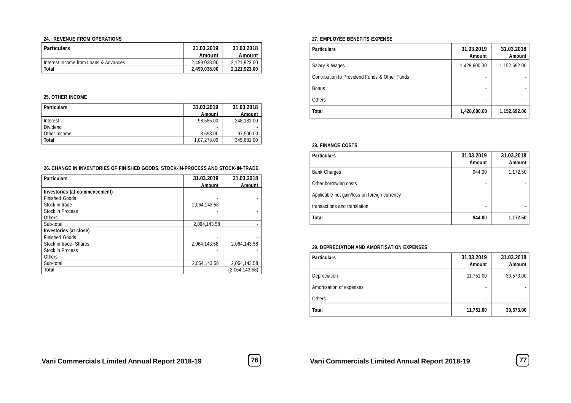#### **24. REVENUE FROM OPERATIONS**

| <b>Particulars</b>                    | 31.03.2019<br>Amount | 31.03.2018<br>Amount |
|---------------------------------------|----------------------|----------------------|
| Interest Income from Loans & Advances | 2.499.038.00         | 2.121.923.00         |
| Total                                 | 2.499.038.00         | 2.121.923.00         |

#### **25. OTHER INCOME**

| <b>Particulars</b> | 31.03.2019  | 31.03.2018 |
|--------------------|-------------|------------|
|                    | Amount      | Amount     |
| Interest           | 98.585.00   | 248.181.00 |
| Dividend           |             |            |
| l Other Income     | 8.693.00    | 97.500.00  |
| Total              | 1.07.278.00 | 345.681.00 |

#### **26. CHANGE IN INVENTORIES OF FINISHED GOODS, STOCK-IN-PROCESS AND STOCK-IN-TRADE**

| <b>Particulars</b>            | 31.03.2019   | 31.03.2018     |
|-------------------------------|--------------|----------------|
|                               | Amount       | <b>Amount</b>  |
| Investories (at commencement) |              |                |
| <b>Finished Goods</b>         |              |                |
| Stock in trade                | 2.064.143.58 |                |
| <b>Stock in Process</b>       |              |                |
| Others                        |              |                |
| Sub-total                     | 2.064.143.58 |                |
| Investories (at close)        |              |                |
| <b>Finished Goods</b>         |              |                |
| Stock in trade-Shares         | 2.064.143.58 | 2.064.143.58   |
| <b>Stock in Process</b>       |              |                |
| Others                        |              |                |
| Sub-total                     | 2.064.143.58 | 2,064,143.58   |
| <b>Total</b>                  |              | (2,064,143.58) |

#### **27. EMPLOYEE BENEFITS EXPENSE**

| <b>Particulars</b>                            | 31.03.2019<br>Amount     | 31.03.2018<br><b>Amount</b> |
|-----------------------------------------------|--------------------------|-----------------------------|
| Salary & Wages                                | 1,428,600.00             | 1,152,692.00                |
| Contribution to Providend Funds & Other Funds | $\overline{\phantom{0}}$ |                             |
| <b>Bonus</b>                                  |                          |                             |
| <b>Others</b>                                 | $\overline{\phantom{0}}$ |                             |
| <b>Total</b>                                  | 1,428,600.00             | 1,152,692.00                |

#### **28. FINANCE COSTS**

| <b>Particulars</b>                           | 31.03.2019<br>Amount | 31.03.2018<br><b>Amount</b> |
|----------------------------------------------|----------------------|-----------------------------|
| <b>Bank Charges</b>                          | 944.00               | 1,172.50                    |
| Other borrowing costs                        |                      |                             |
| Applicable net gain/loss on foreign currency |                      |                             |
| transactions and translation                 |                      |                             |
| <b>Total</b>                                 | 944.00               | 1,172.50                    |

#### **29. DEPRECIATION AND AMORTISATION EXPENSES**

| <b>Particulars</b>       | 31.03.2019<br>Amount | 31.03.2018<br><b>Amount</b> |
|--------------------------|----------------------|-----------------------------|
| Depreciation             | 11,751.00            | 30,573.00                   |
| Amortisation of expenses |                      |                             |
| Others                   |                      |                             |
| <b>Total</b>             | 11,751.00            | 30,573.00                   |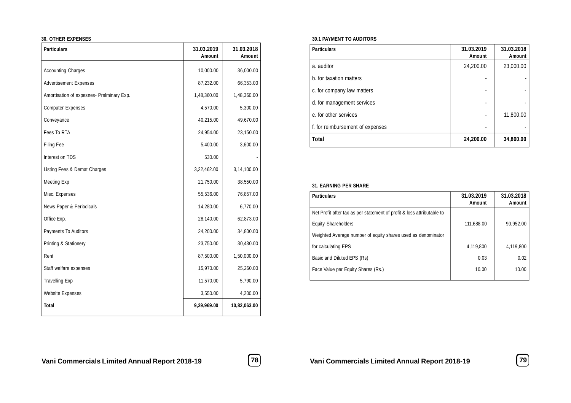#### **30. OTHER EXPENSES**

| <b>Particulars</b>                        | 31.03.2019<br>Amount | 31.03.2018<br><b>Amount</b> |
|-------------------------------------------|----------------------|-----------------------------|
| <b>Accounting Charges</b>                 | 10,000.00            | 36,000.00                   |
| <b>Advertisement Expenses</b>             | 87,232.00            | 66,353.00                   |
| Amortisation of expesnes- Prelminary Exp. | 1,48,360.00          | 1,48,360.00                 |
| <b>Computer Expenses</b>                  | 4,570.00             | 5,300.00                    |
| Conveyance                                | 40,215.00            | 49,670.00                   |
| Fees To RTA                               | 24,954.00            | 23,150.00                   |
| Filing Fee                                | 5,400.00             | 3,600.00                    |
| Interest on TDS                           | 530.00               |                             |
| Listing Fees & Demat Charges              | 3,22,462.00          | 3,14,100.00                 |
| Meeting Exp                               | 21,750.00            | 38,550.00                   |
| Misc. Expenses                            | 55,536.00            | 76,857.00                   |
| News Paper & Periodicals                  | 14,280.00            | 6,770.00                    |
| Office Exp.                               | 28,140.00            | 62,873.00                   |
| Payments To Auditors                      | 24,200.00            | 34,800.00                   |
| Printing & Stationery                     | 23,750.00            | 30,430.00                   |
| Rent                                      | 87,500.00            | 1,50,000.00                 |
| Staff welfare expenses                    | 15,970.00            | 25,260.00                   |
| <b>Travelling Exp</b>                     | 11,570.00            | 5,790.00                    |
| <b>Website Expenses</b>                   | 3,550.00             | 4,200.00                    |
| <b>Total</b>                              | 9,29,969.00          | 10,82,063.00                |

#### **30.1 PAYMENT TO AUDITORS**

| <b>Particulars</b>               | 31.03.2019<br>Amount | 31.03.2018<br>Amount |
|----------------------------------|----------------------|----------------------|
| a. auditor                       | 24,200.00            | 23,000.00            |
| b. for taxation matters          |                      |                      |
| c. for company law matters       |                      |                      |
| d. for management services       |                      |                      |
| e, for other services            |                      | 11,800.00            |
| f. for reimbursement of expenses |                      |                      |
| Total                            | 24,200.00            | 34,800.00            |

#### **31. EARNING PER SHARE**

| <b>Particulars</b>                                                     | 31.03.2019<br>Amount | 31.03.2018<br>Amount |
|------------------------------------------------------------------------|----------------------|----------------------|
| Net Profit after tax as per statement of profit & loss attributable to |                      |                      |
| <b>Equity Shareholders</b>                                             | 111.688.00           | 90.952.00            |
| Weighted Average number of equity shares used as denominator           |                      |                      |
| for calculating EPS                                                    | 4.119.800            | 4,119,800            |
| Basic and Diluted EPS (Rs)                                             | 0.03                 | 0.02                 |
| Face Value per Equity Shares (Rs.)                                     | 10.00                | 10.00                |